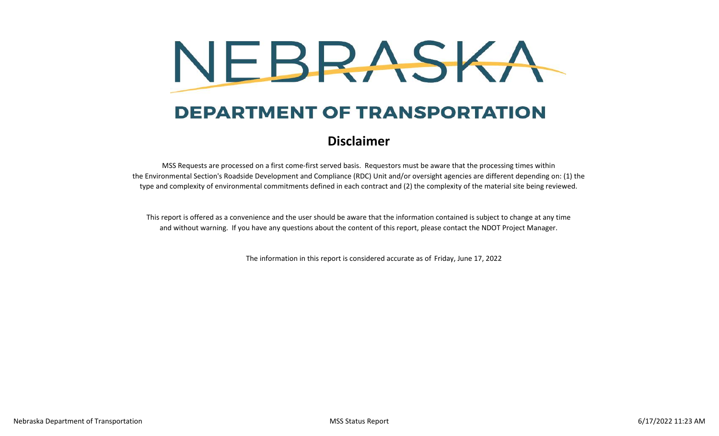

## **DEPARTMENT OF TRANSPORTATION**

## **Disclaimer**

MSS Requests are processed on a first come-first served basis. Requestors must be aware that the processing times within the Environmental Section's Roadside Development and Compliance (RDC) Unit and/or oversight agencies are different depending on: (1) the type and complexity of environmental commitments defined in each contract and (2) the complexity of the material site being reviewed.

and without warning. If you have any questions about the content of this report, please contact the NDOT Project Manager. This report is offered as a convenience and the user should be aware that the information contained is subject to change at any time

The information in this report is considered accurate as of Friday, June 17, 2022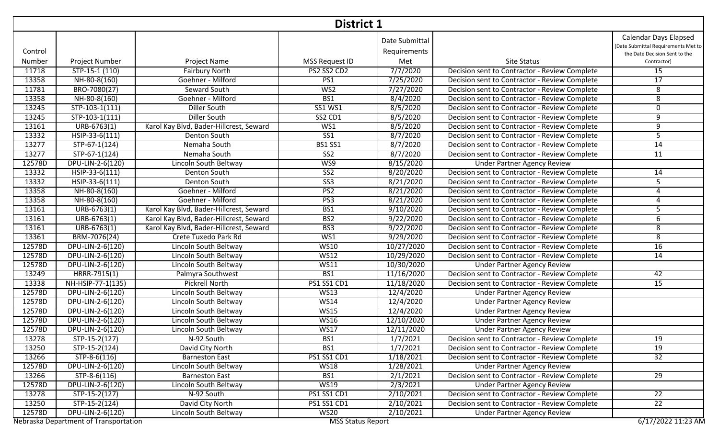|         | District 1                            |                                         |                          |                                |                                               |                                                                                                      |  |  |  |
|---------|---------------------------------------|-----------------------------------------|--------------------------|--------------------------------|-----------------------------------------------|------------------------------------------------------------------------------------------------------|--|--|--|
| Control |                                       |                                         |                          | Date Submittal<br>Requirements |                                               | <b>Calendar Days Elapsed</b><br>(Date Submittal Requirements Met to<br>the Date Decision Sent to the |  |  |  |
| Number  | Project Number                        | Project Name                            | MSS Request ID           | Met                            | <b>Site Status</b>                            | Contractor)                                                                                          |  |  |  |
| 11718   | STP-15-1 (110)                        | <b>Fairbury North</b>                   | PS2 SS2 CD2              | 7/7/2020                       | Decision sent to Contractor - Review Complete | 15                                                                                                   |  |  |  |
| 13358   | NH-80-8(160)                          | Goehner - Milford                       | PS1                      | 7/25/2020                      | Decision sent to Contractor - Review Complete | $\overline{17}$                                                                                      |  |  |  |
| 11781   | BRO-7080(27)                          | Seward South                            | W <sub>S2</sub>          | 7/27/2020                      | Decision sent to Contractor - Review Complete | 8                                                                                                    |  |  |  |
| 13358   | NH-80-8(160)                          | Goehner - Milford                       | BS1                      | 8/4/2020                       | Decision sent to Contractor - Review Complete | 8                                                                                                    |  |  |  |
| 13245   | $STP-103-1(111)$                      | <b>Diller South</b>                     | <b>SS1 WS1</b>           | 8/5/2020                       | Decision sent to Contractor - Review Complete | 0                                                                                                    |  |  |  |
| 13245   | STP-103-1(111)                        | <b>Diller South</b>                     | SS2 CD1                  | 8/5/2020                       | Decision sent to Contractor - Review Complete | 9                                                                                                    |  |  |  |
| 13161   | $URB-6763(1)$                         | Karol Kay Blvd, Bader-Hillcrest, Seward | WS1                      | 8/5/2020                       | Decision sent to Contractor - Review Complete | 9                                                                                                    |  |  |  |
| 13332   | HSIP-33-6(111)                        | Denton South                            | $\overline{\text{SS1}}$  | 8/7/2020                       | Decision sent to Contractor - Review Complete | 5                                                                                                    |  |  |  |
| 13277   | STP-67-1(124)                         | Nemaha South                            | <b>BS1 SS1</b>           | 8/7/2020                       | Decision sent to Contractor - Review Complete | 14                                                                                                   |  |  |  |
| 13277   | STP-67-1(124)                         | Nemaha South                            | SS <sub>2</sub>          | 8/7/2020                       | Decision sent to Contractor - Review Complete | $\overline{11}$                                                                                      |  |  |  |
| 12578D  | DPU-LIN-2-6(120)                      | Lincoln South Beltway                   | WS9                      | 8/15/2020                      | <b>Under Partner Agency Review</b>            |                                                                                                      |  |  |  |
| 13332   | HSIP-33-6(111)                        | <b>Denton South</b>                     | SS <sub>2</sub>          | 8/20/2020                      | Decision sent to Contractor - Review Complete | 14                                                                                                   |  |  |  |
| 13332   | HSIP-33-6(111)                        | Denton South                            | $\overline{\text{SS3}}$  | 8/21/2020                      | Decision sent to Contractor - Review Complete | 5                                                                                                    |  |  |  |
| 13358   | NH-80-8(160)                          | Goehner - Milford                       | PS2                      | 8/21/2020                      | Decision sent to Contractor - Review Complete | 4                                                                                                    |  |  |  |
| 13358   | NH-80-8(160)                          | Goehner - Milford                       | PS3                      | 8/21/2020                      | Decision sent to Contractor - Review Complete | 4                                                                                                    |  |  |  |
| 13161   | URB-6763(1)                           | Karol Kay Blvd, Bader-Hillcrest, Seward | BS1                      | 9/10/2020                      | Decision sent to Contractor - Review Complete | 5                                                                                                    |  |  |  |
| 13161   | $\overline{URB-6}$ 763(1)             | Karol Kay Blvd, Bader-Hillcrest, Seward | BS <sub>2</sub>          | 9/22/2020                      | Decision sent to Contractor - Review Complete | 6                                                                                                    |  |  |  |
| 13161   | $URB-6763(1)$                         | Karol Kay Blvd, Bader-Hillcrest, Seward | BS3                      | 9/22/2020                      | Decision sent to Contractor - Review Complete | 8                                                                                                    |  |  |  |
| 13361   | BRM-7076(24)                          | Crete Tuxedo Park Rd                    | WS1                      | 9/29/2020                      | Decision sent to Contractor - Review Complete | $\infty$                                                                                             |  |  |  |
| 12578D  | DPU-LIN-2-6(120)                      | Lincoln South Beltway                   | <b>WS10</b>              | 10/27/2020                     | Decision sent to Contractor - Review Complete | 16                                                                                                   |  |  |  |
| 12578D  | DPU-LIN-2-6(120)                      | Lincoln South Beltway                   | <b>WS12</b>              | 10/29/2020                     | Decision sent to Contractor - Review Complete | 14                                                                                                   |  |  |  |
| 12578D  | DPU-LIN-2-6(120)                      | Lincoln South Beltway                   | WS11                     | 10/30/2020                     | <b>Under Partner Agency Review</b>            |                                                                                                      |  |  |  |
| 13249   | HRRR-7915(1)                          | Palmyra Southwest                       | BS1                      | 11/16/2020                     | Decision sent to Contractor - Review Complete | 42                                                                                                   |  |  |  |
| 13338   | NH-HSIP-77-1(135)                     | <b>Pickrell North</b>                   | <b>PS1 SS1 CD1</b>       | 11/18/2020                     | Decision sent to Contractor - Review Complete | $\overline{15}$                                                                                      |  |  |  |
| 12578D  | DPU-LIN-2-6(120)                      | Lincoln South Beltway                   | <b>WS13</b>              | 12/4/2020                      | <b>Under Partner Agency Review</b>            |                                                                                                      |  |  |  |
| 12578D  | DPU-LIN-2-6(120)                      | Lincoln South Beltway                   | <b>WS14</b>              | 12/4/2020                      | <b>Under Partner Agency Review</b>            |                                                                                                      |  |  |  |
| 12578D  | DPU-LIN-2-6(120)                      | Lincoln South Beltway                   | <b>WS15</b>              | 12/4/2020                      | <b>Under Partner Agency Review</b>            |                                                                                                      |  |  |  |
| 12578D  | DPU-LIN-2-6(120)                      | Lincoln South Beltway                   | <b>WS16</b>              | 12/10/2020                     | <b>Under Partner Agency Review</b>            |                                                                                                      |  |  |  |
| 12578D  | DPU-LIN-2-6(120)                      | Lincoln South Beltway                   | <b>WS17</b>              | 12/11/2020                     | <b>Under Partner Agency Review</b>            |                                                                                                      |  |  |  |
| 13278   | STP-15-2(127)                         | N-92 South                              | BS1                      | 1/7/2021                       | Decision sent to Contractor - Review Complete | 19                                                                                                   |  |  |  |
| 13250   | STP-15-2(124)                         | David City North                        | BS1                      | 1/7/2021                       | Decision sent to Contractor - Review Complete | 19                                                                                                   |  |  |  |
| 13266   | STP-8-6(116)                          | <b>Barneston East</b>                   | <b>PS1 SS1 CD1</b>       | 1/18/2021                      | Decision sent to Contractor - Review Complete | 32                                                                                                   |  |  |  |
| 12578D  | DPU-LIN-2-6(120)                      | Lincoln South Beltway                   | <b>WS18</b>              | 1/28/2021                      | <b>Under Partner Agency Review</b>            |                                                                                                      |  |  |  |
| 13266   | STP-8-6(116)                          | <b>Barneston East</b>                   | BS1                      | 2/1/2021                       | Decision sent to Contractor - Review Complete | 29                                                                                                   |  |  |  |
| 12578D  | DPU-LIN-2-6(120)                      | Lincoln South Beltway                   | <b>WS19</b>              | 2/3/2021                       | <b>Under Partner Agency Review</b>            |                                                                                                      |  |  |  |
| 13278   | STP-15-2(127)                         | N-92 South                              | PS1 SS1 CD1              | 2/10/2021                      | Decision sent to Contractor - Review Complete | $\overline{22}$                                                                                      |  |  |  |
| 13250   | STP-15-2(124)                         | David City North                        | PS1 SS1 CD1              | 2/10/2021                      | Decision sent to Contractor - Review Complete | $\overline{22}$                                                                                      |  |  |  |
| 12578D  | DPU-LIN-2-6(120)                      | Lincoln South Beltway                   | <b>WS20</b>              | 2/10/2021                      | <b>Under Partner Agency Review</b>            |                                                                                                      |  |  |  |
|         | Nebraska Department of Transportation |                                         | <b>MSS Status Report</b> |                                |                                               | 6/17/2022 11:23 AM                                                                                   |  |  |  |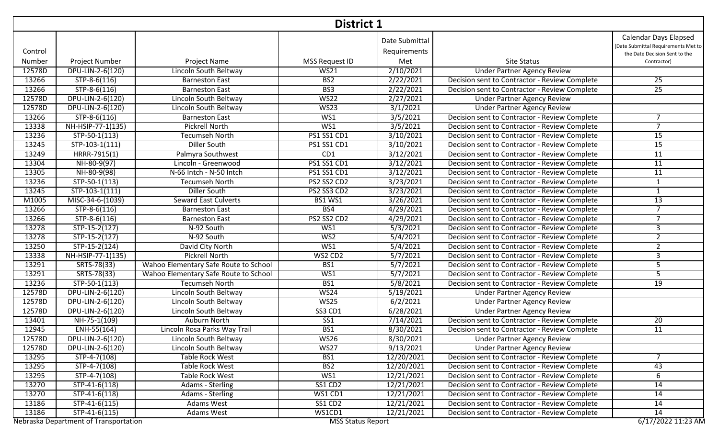|         | <b>District 1</b>                     |                                       |                          |                                |                                               |                                                                                                      |  |  |  |
|---------|---------------------------------------|---------------------------------------|--------------------------|--------------------------------|-----------------------------------------------|------------------------------------------------------------------------------------------------------|--|--|--|
| Control |                                       |                                       |                          | Date Submittal<br>Requirements |                                               | <b>Calendar Days Elapsed</b><br>(Date Submittal Requirements Met to<br>the Date Decision Sent to the |  |  |  |
| Number  | Project Number                        | Project Name                          | MSS Request ID           | Met                            | Site Status                                   | Contractor)                                                                                          |  |  |  |
| 12578D  | DPU-LIN-2-6(120)                      | Lincoln South Beltway                 | <b>WS21</b>              | 2/10/2021                      | <b>Under Partner Agency Review</b>            |                                                                                                      |  |  |  |
| 13266   | STP-8-6(116)                          | <b>Barneston East</b>                 | BS <sub>2</sub>          | 2/22/2021                      | Decision sent to Contractor - Review Complete | 25                                                                                                   |  |  |  |
| 13266   | $STP-8-6(116)$                        | <b>Barneston East</b>                 | BS3                      | 2/22/2021                      | Decision sent to Contractor - Review Complete | 25                                                                                                   |  |  |  |
| 12578D  | DPU-LIN-2-6(120)                      | Lincoln South Beltway                 | <b>WS22</b>              | 2/27/2021                      | <b>Under Partner Agency Review</b>            |                                                                                                      |  |  |  |
| 12578D  | DPU-LIN-2-6(120)                      | Lincoln South Beltway                 | W <sub>S23</sub>         | 3/1/2021                       | <b>Under Partner Agency Review</b>            |                                                                                                      |  |  |  |
| 13266   | $STP-8-6(116)$                        | <b>Barneston East</b>                 | WS1                      | 3/5/2021                       | Decision sent to Contractor - Review Complete | 7                                                                                                    |  |  |  |
| 13338   | NH-HSIP-77-1(135)                     | <b>Pickrell North</b>                 | WS1                      | 3/5/2021                       | Decision sent to Contractor - Review Complete | $\overline{7}$                                                                                       |  |  |  |
| 13236   | STP-50-1(113)                         | Tecumseh North                        | PS1 SS1 CD1              | 3/10/2021                      | Decision sent to Contractor - Review Complete | 15                                                                                                   |  |  |  |
| 13245   | $STP-103-1(111)$                      | Diller South                          | PS1 SS1 CD1              | 3/10/2021                      | Decision sent to Contractor - Review Complete | 15                                                                                                   |  |  |  |
| 13249   | HRRR-7915(1)                          | Palmyra Southwest                     | CD1                      | 3/12/2021                      | Decision sent to Contractor - Review Complete | 11                                                                                                   |  |  |  |
| 13304   | NH-80-9(97)                           | Lincoln - Greenwood                   | <b>PS1 SS1 CD1</b>       | 3/12/2021                      | Decision sent to Contractor - Review Complete | $\overline{11}$                                                                                      |  |  |  |
| 13305   | NH-80-9(98)                           | N-66 Intch - N-50 Intch               | PS1 SS1 CD1              | 3/12/2021                      | Decision sent to Contractor - Review Complete | $\overline{11}$                                                                                      |  |  |  |
| 13236   | $STP-50-1(113)$                       | <b>Tecumseh North</b>                 | PS2 SS2 CD2              | 3/23/2021                      | Decision sent to Contractor - Review Complete | $\mathbf{1}$                                                                                         |  |  |  |
| 13245   | STP-103-1(111)                        | <b>Diller South</b>                   | PS2 SS3 CD2              | 3/23/2021                      | Decision sent to Contractor - Review Complete | $\mathbf{1}$                                                                                         |  |  |  |
| M1005   | MISC-34-6-(1039)                      | <b>Seward East Culverts</b>           | <b>BS1 WS1</b>           | 3/26/2021                      | Decision sent to Contractor - Review Complete | 13                                                                                                   |  |  |  |
| 13266   | $STP-8-6(116)$                        | <b>Barneston East</b>                 | BS4                      | 4/29/2021                      | Decision sent to Contractor - Review Complete | $\overline{7}$                                                                                       |  |  |  |
| 13266   | $STP-8-6(116)$                        | <b>Barneston East</b>                 | PS2 SS2 CD2              | 4/29/2021                      | Decision sent to Contractor - Review Complete | $\overline{7}$                                                                                       |  |  |  |
| 13278   | $STP-15-2(127)$                       | N-92 South                            | WS1                      | 5/3/2021                       | Decision sent to Contractor - Review Complete | 3                                                                                                    |  |  |  |
| 13278   | $STP-15-2(127)$                       | N-92 South                            | W <sub>S2</sub>          | 5/4/2021                       | Decision sent to Contractor - Review Complete | $\overline{2}$                                                                                       |  |  |  |
| 13250   | $STP-15-2(124)$                       | David City North                      | WS1                      | 5/4/2021                       | Decision sent to Contractor - Review Complete | $\overline{2}$                                                                                       |  |  |  |
| 13338   | NH-HSIP-77-1(135)                     | <b>Pickrell North</b>                 | WS2 CD2                  | 5/7/2021                       | Decision sent to Contractor - Review Complete | 3                                                                                                    |  |  |  |
| 13291   | SRTS-78(33)                           | Wahoo Elementary Safe Route to School | BS1                      | 5/7/2021                       | Decision sent to Contractor - Review Complete | 5                                                                                                    |  |  |  |
| 13291   | SRTS-78(33)                           | Wahoo Elementary Safe Route to School | WS1                      | 5/7/2021                       | Decision sent to Contractor - Review Complete | $\overline{5}$                                                                                       |  |  |  |
| 13236   | $STP-50-1(113)$                       | <b>Tecumseh North</b>                 | BS1                      | 5/8/2021                       | Decision sent to Contractor - Review Complete | 19                                                                                                   |  |  |  |
| 12578D  | DPU-LIN-2-6(120)                      | Lincoln South Beltway                 | <b>WS24</b>              | 5/19/2021                      | <b>Under Partner Agency Review</b>            |                                                                                                      |  |  |  |
| 12578D  | DPU-LIN-2-6(120)                      | Lincoln South Beltway                 | W <sub>S25</sub>         | 6/2/2021                       | <b>Under Partner Agency Review</b>            |                                                                                                      |  |  |  |
| 12578D  | DPU-LIN-2-6(120)                      | Lincoln South Beltway                 | <b>SS3 CD1</b>           | 6/28/2021                      | <b>Under Partner Agency Review</b>            |                                                                                                      |  |  |  |
| 13401   | NH-75-1(109)                          | Auburn North                          | $\overline{\text{SS1}}$  | 7/14/2021                      | Decision sent to Contractor - Review Complete | 20                                                                                                   |  |  |  |
| 12945   | $\overline{ENH-55(164)}$              | Lincoln Rosa Parks Way Trail          | BS1                      | 8/30/2021                      | Decision sent to Contractor - Review Complete | 11                                                                                                   |  |  |  |
| 12578D  | DPU-LIN-2-6(120)                      | Lincoln South Beltway                 | <b>WS26</b>              | 8/30/2021                      | <b>Under Partner Agency Review</b>            |                                                                                                      |  |  |  |
| 12578D  | DPU-LIN-2-6(120)                      | Lincoln South Beltway                 | W <sub>S27</sub>         | 9/13/2021                      | <b>Under Partner Agency Review</b>            |                                                                                                      |  |  |  |
| 13295   | STP-4-7(108)                          | Table Rock West                       | BS1                      | 12/20/2021                     | Decision sent to Contractor - Review Complete | 7                                                                                                    |  |  |  |
| 13295   | $STP-4-7(108)$                        | Table Rock West                       | BS <sub>2</sub>          | 12/20/2021                     | Decision sent to Contractor - Review Complete | 43                                                                                                   |  |  |  |
| 13295   | STP-4-7(108)                          | <b>Table Rock West</b>                | WS1                      | 12/21/2021                     | Decision sent to Contractor - Review Complete | 6                                                                                                    |  |  |  |
| 13270   | STP-41-6(118)                         | <b>Adams - Sterling</b>               | SS1 CD2                  | 12/21/2021                     | Decision sent to Contractor - Review Complete | 14                                                                                                   |  |  |  |
| 13270   | STP-41-6(118)                         | <b>Adams - Sterling</b>               | WS1 CD1                  | 12/21/2021                     | Decision sent to Contractor - Review Complete | 14                                                                                                   |  |  |  |
| 13186   | STP-41-6(115)                         | Adams West                            | SS1 CD2                  | 12/21/2021                     | Decision sent to Contractor - Review Complete | 14                                                                                                   |  |  |  |
| 13186   | $STP-41-6(115)$                       | Adams West                            | WS1CD1                   | 12/21/2021                     | Decision sent to Contractor - Review Complete | 14                                                                                                   |  |  |  |
|         | Nebraska Department of Transportation |                                       | <b>MSS Status Report</b> |                                |                                               | 6/17/2022 11:23 AM                                                                                   |  |  |  |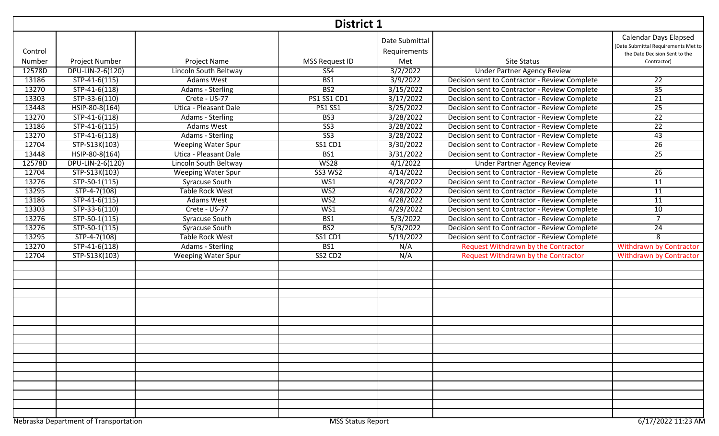|         | <b>District 1</b>                     |                           |                          |                                |                                               |                                                                                                      |  |  |  |
|---------|---------------------------------------|---------------------------|--------------------------|--------------------------------|-----------------------------------------------|------------------------------------------------------------------------------------------------------|--|--|--|
| Control |                                       |                           |                          | Date Submittal<br>Requirements |                                               | <b>Calendar Days Elapsed</b><br>(Date Submittal Requirements Met to<br>the Date Decision Sent to the |  |  |  |
| Number  | Project Number                        | Project Name              | MSS Request ID           | Met                            | <b>Site Status</b>                            | Contractor)                                                                                          |  |  |  |
| 12578D  | DPU-LIN-2-6(120)                      | Lincoln South Beltway     | SS <sub>4</sub>          | 3/2/2022                       | <b>Under Partner Agency Review</b>            |                                                                                                      |  |  |  |
| 13186   | STP-41-6(115)                         | Adams West                | BS1                      | 3/9/2022                       | Decision sent to Contractor - Review Complete | $\overline{22}$                                                                                      |  |  |  |
| 13270   | $STP-41-6(118)$                       | <b>Adams - Sterling</b>   | BS <sub>2</sub>          | 3/15/2022                      | Decision sent to Contractor - Review Complete | 35                                                                                                   |  |  |  |
| 13303   | STP-33-6(110)                         | Crete - US-77             | PS1 SS1 CD1              | 3/17/2022                      | Decision sent to Contractor - Review Complete | 21                                                                                                   |  |  |  |
| 13448   | HSIP-80-8(164)                        | Utica - Pleasant Dale     | <b>PS1 SS1</b>           | 3/25/2022                      | Decision sent to Contractor - Review Complete | $\overline{25}$                                                                                      |  |  |  |
| 13270   | $STP-41-6(118)$                       | <b>Adams - Sterling</b>   | BS3                      | 3/28/2022                      | Decision sent to Contractor - Review Complete | 22                                                                                                   |  |  |  |
| 13186   | $STP-41-6(115)$                       | Adams West                | $\overline{\text{SS3}}$  | 3/28/2022                      | Decision sent to Contractor - Review Complete | $\overline{22}$                                                                                      |  |  |  |
| 13270   | STP-41-6(118)                         | Adams - Sterling          | $\overline{\text{SS3}}$  | 3/28/2022                      | Decision sent to Contractor - Review Complete | 43                                                                                                   |  |  |  |
| 12704   | STP-S13K(103)                         | <b>Weeping Water Spur</b> | <b>SS1 CD1</b>           | 3/30/2022                      | Decision sent to Contractor - Review Complete | $\overline{26}$                                                                                      |  |  |  |
| 13448   | HSIP-80-8(164)                        | Utica - Pleasant Dale     | BS1                      | 3/31/2022                      | Decision sent to Contractor - Review Complete | $\overline{25}$                                                                                      |  |  |  |
| 12578D  | DPU-LIN-2-6(120)                      | Lincoln South Beltway     | <b>WS28</b>              | 4/1/2022                       | <b>Under Partner Agency Review</b>            |                                                                                                      |  |  |  |
| 12704   | STP-S13K(103)                         | <b>Weeping Water Spur</b> | <b>SS3 WS2</b>           | 4/14/2022                      | Decision sent to Contractor - Review Complete | 26                                                                                                   |  |  |  |
| 13276   | STP-50-1(115)                         | Syracuse South            | WS1                      | 4/28/2022                      | Decision sent to Contractor - Review Complete | 11                                                                                                   |  |  |  |
| 13295   | STP-4-7(108)                          | <b>Table Rock West</b>    | WS2                      | 4/28/2022                      | Decision sent to Contractor - Review Complete | 11                                                                                                   |  |  |  |
| 13186   | STP-41-6(115)                         | Adams West                | WS <sub>2</sub>          | 4/28/2022                      | Decision sent to Contractor - Review Complete | 11                                                                                                   |  |  |  |
| 13303   | STP-33-6(110)                         | Crete - US-77             | WS1                      | 4/29/2022                      | Decision sent to Contractor - Review Complete | 10                                                                                                   |  |  |  |
| 13276   | $STP-50-1(115)$                       | Syracuse South            | BS1                      | 5/3/2022                       | Decision sent to Contractor - Review Complete | $\overline{7}$                                                                                       |  |  |  |
| 13276   | STP-50-1(115)                         | Syracuse South            | BS <sub>2</sub>          | 5/3/2022                       | Decision sent to Contractor - Review Complete | $\overline{24}$                                                                                      |  |  |  |
| 13295   | $STP-4-7(108)$                        | <b>Table Rock West</b>    | SS1 CD1                  | 5/19/2022                      | Decision sent to Contractor - Review Complete | 8                                                                                                    |  |  |  |
| 13270   | $STP-41-6(118)$                       | <b>Adams - Sterling</b>   | BS1                      | N/A                            | Request Withdrawn by the Contractor           | <b>Withdrawn by Contractor</b>                                                                       |  |  |  |
| 12704   | STP-S13K(103)                         | <b>Weeping Water Spur</b> | SS2 CD2                  | N/A                            | <b>Request Withdrawn by the Contractor</b>    | <b>Withdrawn by Contractor</b>                                                                       |  |  |  |
|         |                                       |                           |                          |                                |                                               |                                                                                                      |  |  |  |
|         |                                       |                           |                          |                                |                                               |                                                                                                      |  |  |  |
|         |                                       |                           |                          |                                |                                               |                                                                                                      |  |  |  |
|         |                                       |                           |                          |                                |                                               |                                                                                                      |  |  |  |
|         |                                       |                           |                          |                                |                                               |                                                                                                      |  |  |  |
|         |                                       |                           |                          |                                |                                               |                                                                                                      |  |  |  |
|         |                                       |                           |                          |                                |                                               |                                                                                                      |  |  |  |
|         |                                       |                           |                          |                                |                                               |                                                                                                      |  |  |  |
|         | Nebraska Department of Transportation |                           | <b>MSS Status Report</b> |                                |                                               | 6/17/2022 11:23 AM                                                                                   |  |  |  |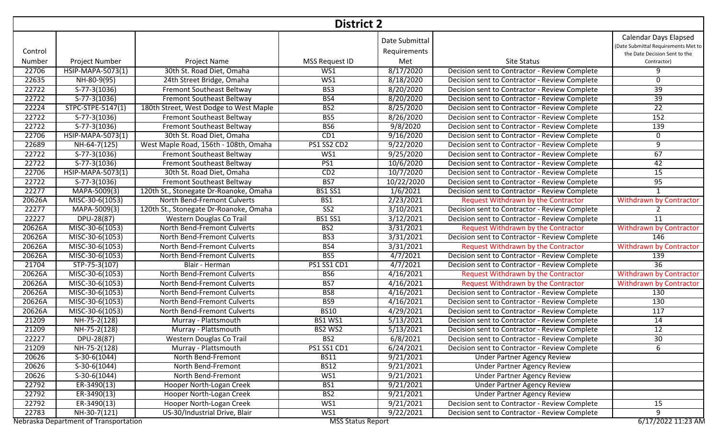|         | <b>District 2</b>                     |                                        |                          |                                |                                               |                                                                                                      |  |  |  |
|---------|---------------------------------------|----------------------------------------|--------------------------|--------------------------------|-----------------------------------------------|------------------------------------------------------------------------------------------------------|--|--|--|
| Control |                                       |                                        |                          | Date Submittal<br>Requirements |                                               | <b>Calendar Days Elapsed</b><br>(Date Submittal Requirements Met to<br>the Date Decision Sent to the |  |  |  |
| Number  | Project Number                        | Project Name                           | MSS Request ID           | Met                            | Site Status                                   | Contractor)                                                                                          |  |  |  |
| 22706   | HSIP-MAPA-5073(1)                     | 30th St. Road Diet, Omaha              | WS1                      | 8/17/2020                      | Decision sent to Contractor - Review Complete | 9                                                                                                    |  |  |  |
| 22635   | NH-80-9(95)                           | 24th Street Bridge, Omaha              | WS1                      | 8/18/2020                      | Decision sent to Contractor - Review Complete | 0                                                                                                    |  |  |  |
| 22722   | $S-77-3(1036)$                        | <b>Fremont Southeast Beltway</b>       | BS3                      | 8/20/2020                      | Decision sent to Contractor - Review Complete | $\overline{39}$                                                                                      |  |  |  |
| 22722   | S-77-3(1036)                          | Fremont Southeast Beltway              | BS4                      | 8/20/2020                      | Decision sent to Contractor - Review Complete | 39                                                                                                   |  |  |  |
| 22224   | STPC-STPE-5147(1)                     | 180th Street, West Dodge to West Maple | B <sub>S2</sub>          | 8/25/2020                      | Decision sent to Contractor - Review Complete | $\overline{22}$                                                                                      |  |  |  |
| 22722   | $S-77-3(1036)$                        | <b>Fremont Southeast Beltway</b>       | BS5                      | 8/26/2020                      | Decision sent to Contractor - Review Complete | 152                                                                                                  |  |  |  |
| 22722   | S-77-3(1036)                          | Fremont Southeast Beltway              | BS6                      | 9/8/2020                       | Decision sent to Contractor - Review Complete | 139                                                                                                  |  |  |  |
| 22706   | HSIP-MAPA-5073(1)                     | 30th St. Road Diet, Omaha              | CD1                      | 9/16/2020                      | Decision sent to Contractor - Review Complete | 0                                                                                                    |  |  |  |
| 22689   | NH-64-7(125)                          | West Maple Road, 156th - 108th, Omaha  | PS1 SS2 CD2              | 9/22/2020                      | Decision sent to Contractor - Review Complete | 9                                                                                                    |  |  |  |
| 22722   | S-77-3(1036)                          | Fremont Southeast Beltway              | WS1                      | 9/25/2020                      | Decision sent to Contractor - Review Complete | 67                                                                                                   |  |  |  |
| 22722   | $S-77-3(1036)$                        | Fremont Southeast Beltway              | PS1                      | 10/6/2020                      | Decision sent to Contractor - Review Complete | 42                                                                                                   |  |  |  |
| 22706   | HSIP-MAPA-5073(1)                     | 30th St. Road Diet, Omaha              | CD2                      | 10/7/2020                      | Decision sent to Contractor - Review Complete | $\overline{15}$                                                                                      |  |  |  |
| 22722   | S-77-3(1036)                          | Fremont Southeast Beltway              | BS7                      | 10/22/2020                     | Decision sent to Contractor - Review Complete | 95                                                                                                   |  |  |  |
| 22277   | MAPA-5009(3)                          | 120th St., Stonegate Dr-Roanoke, Omaha | <b>BS1 SS1</b>           | 1/6/2021                       | Decision sent to Contractor - Review Complete | $\mathbf 1$                                                                                          |  |  |  |
| 20626A  | MISC-30-6(1053)                       | North Bend-Fremont Culverts            | BS1                      | 2/23/2021                      | Request Withdrawn by the Contractor           | <b>Withdrawn by Contractor</b>                                                                       |  |  |  |
| 22277   | MAPA-5009(3)                          | 120th St., Stonegate Dr-Roanoke, Omaha | $\overline{SS2}$         | 3/10/2021                      | Decision sent to Contractor - Review Complete |                                                                                                      |  |  |  |
| 22227   | DPU-28(87)                            | <b>Western Douglas Co Trail</b>        | <b>BS1 SS1</b>           | 3/12/2021                      | Decision sent to Contractor - Review Complete | 11                                                                                                   |  |  |  |
| 20626A  | MISC-30-6(1053)                       | North Bend-Fremont Culverts            | BS <sub>2</sub>          | 3/31/2021                      | Request Withdrawn by the Contractor           | <b>Withdrawn by Contractor</b>                                                                       |  |  |  |
| 20626A  | MISC-30-6(1053)                       | North Bend-Fremont Culverts            | BS3                      | 3/31/2021                      | Decision sent to Contractor - Review Complete | 146                                                                                                  |  |  |  |
| 20626A  | MISC-30-6(1053)                       | North Bend-Fremont Culverts            | BS4                      | 3/31/2021                      | Request Withdrawn by the Contractor           | <b>Withdrawn by Contractor</b>                                                                       |  |  |  |
| 20626A  | MISC-30-6(1053)                       | North Bend-Fremont Culverts            | BS5                      | 4/7/2021                       | Decision sent to Contractor - Review Complete | 139                                                                                                  |  |  |  |
| 21704   | STP-75-3(107)                         | Blair - Herman                         | PS1 SS1 CD1              | 4/7/2021                       | Decision sent to Contractor - Review Complete | $\overline{36}$                                                                                      |  |  |  |
| 20626A  | MISC-30-6(1053)                       | North Bend-Fremont Culverts            | BS <sub>6</sub>          | 4/16/2021                      | Request Withdrawn by the Contractor           | <b>Withdrawn by Contractor</b>                                                                       |  |  |  |
| 20626A  | MISC-30-6(1053)                       | North Bend-Fremont Culverts            | BS7                      | 4/16/2021                      | <b>Request Withdrawn by the Contractor</b>    | <b>Withdrawn by Contractor</b>                                                                       |  |  |  |
| 20626A  | MISC-30-6(1053)                       | North Bend-Fremont Culverts            | BS8                      | 4/16/2021                      | Decision sent to Contractor - Review Complete | 130                                                                                                  |  |  |  |
| 20626A  | MISC-30-6(1053)                       | North Bend-Fremont Culverts            | BS9                      | 4/16/2021                      | Decision sent to Contractor - Review Complete | 130                                                                                                  |  |  |  |
| 20626A  | MISC-30-6(1053)                       | North Bend-Fremont Culverts            | <b>BS10</b>              | 4/29/2021                      | Decision sent to Contractor - Review Complete | 117                                                                                                  |  |  |  |
| 21209   | NH-75-2(128)                          | Murray - Plattsmouth                   | <b>BS1 WS1</b>           | 5/13/2021                      | Decision sent to Contractor - Review Complete | 14                                                                                                   |  |  |  |
| 21209   | NH-75-2(128)                          | Murray - Plattsmouth                   | BS2 WS2                  | 5/13/2021                      | Decision sent to Contractor - Review Complete | 12                                                                                                   |  |  |  |
| 22227   | DPU-28(87)                            | Western Douglas Co Trail               | BS <sub>2</sub>          | 6/8/2021                       | Decision sent to Contractor - Review Complete | 30                                                                                                   |  |  |  |
| 21209   | NH-75-2(128)                          | Murray - Plattsmouth                   | <b>PS1 SS1 CD1</b>       | 6/24/2021                      | Decision sent to Contractor - Review Complete | 6                                                                                                    |  |  |  |
| 20626   | $S-30-6(1044)$                        | North Bend-Fremont                     | <b>BS11</b>              | 9/21/2021                      | <b>Under Partner Agency Review</b>            |                                                                                                      |  |  |  |
| 20626   | $S-30-6(1044)$                        | North Bend-Fremont                     | <b>BS12</b>              | 9/21/2021                      | <b>Under Partner Agency Review</b>            |                                                                                                      |  |  |  |
| 20626   | $S-30-6(1044)$                        | North Bend-Fremont                     | WS1                      | 9/21/2021                      | <b>Under Partner Agency Review</b>            |                                                                                                      |  |  |  |
| 22792   | ER-3490(13)                           | Hooper North-Logan Creek               | BS1                      | 9/21/2021                      | <b>Under Partner Agency Review</b>            |                                                                                                      |  |  |  |
| 22792   | ER-3490(13)                           | Hooper North-Logan Creek               | B <sub>S2</sub>          | 9/21/2021                      | <b>Under Partner Agency Review</b>            |                                                                                                      |  |  |  |
| 22792   | $ER-3490(13)$                         | Hooper North-Logan Creek               | WS1                      | 9/21/2021                      | Decision sent to Contractor - Review Complete | 15                                                                                                   |  |  |  |
| 22783   | NH-30-7(121)                          | US-30/Industrial Drive, Blair          | WS1                      | 9/22/2021                      | Decision sent to Contractor - Review Complete | 9                                                                                                    |  |  |  |
|         | Nebraska Department of Transportation |                                        | <b>MSS Status Report</b> |                                |                                               | 6/17/2022 11:23 AM                                                                                   |  |  |  |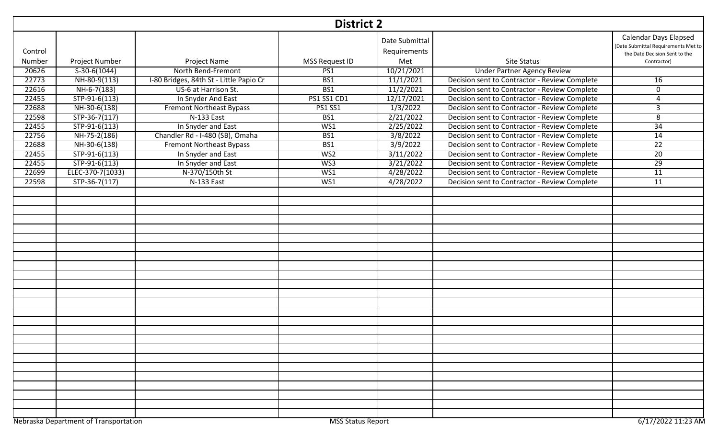|         | <b>District 2</b>                     |                                         |                          |                                |                                               |                                                                                                      |  |  |  |
|---------|---------------------------------------|-----------------------------------------|--------------------------|--------------------------------|-----------------------------------------------|------------------------------------------------------------------------------------------------------|--|--|--|
| Control |                                       |                                         |                          | Date Submittal<br>Requirements |                                               | <b>Calendar Days Elapsed</b><br>(Date Submittal Requirements Met to<br>the Date Decision Sent to the |  |  |  |
| Number  | Project Number                        | Project Name                            | MSS Request ID           | Met                            | <b>Site Status</b>                            | Contractor)                                                                                          |  |  |  |
| 20626   | $S-30-6(1044)$                        | North Bend-Fremont                      | PS1                      | 10/21/2021                     | <b>Under Partner Agency Review</b>            |                                                                                                      |  |  |  |
| 22773   | NH-80-9(113)                          | I-80 Bridges, 84th St - Little Papio Cr | BS1                      | 11/1/2021                      | Decision sent to Contractor - Review Complete | 16                                                                                                   |  |  |  |
| 22616   | $NH-6-7(183)$                         | US-6 at Harrison St.                    | BS1                      | 11/2/2021                      | Decision sent to Contractor - Review Complete | $\Omega$                                                                                             |  |  |  |
| 22455   | $STP-91-6(113)$                       | In Snyder And East                      | PS1 SS1 CD1              | 12/17/2021                     | Decision sent to Contractor - Review Complete | 4                                                                                                    |  |  |  |
| 22688   | NH-30-6(138)                          | <b>Fremont Northeast Bypass</b>         | <b>PS1 SS1</b>           | 1/3/2022                       | Decision sent to Contractor - Review Complete | З                                                                                                    |  |  |  |
| 22598   | $STP-36-7(117)$                       | N-133 East                              | BS1                      | 2/21/2022                      | Decision sent to Contractor - Review Complete | 8                                                                                                    |  |  |  |
| 22455   | $STP-91-6(113)$                       | In Snyder and East                      | WS1                      | 2/25/2022                      | Decision sent to Contractor - Review Complete | 34                                                                                                   |  |  |  |
| 22756   | NH-75-2(186)                          | Chandler Rd - I-480 (SB), Omaha         | BS1                      | 3/8/2022                       | Decision sent to Contractor - Review Complete | 14                                                                                                   |  |  |  |
| 22688   | NH-30-6(138)                          | <b>Fremont Northeast Bypass</b>         | BS1                      | 3/9/2022                       | Decision sent to Contractor - Review Complete | $\overline{22}$                                                                                      |  |  |  |
| 22455   | $STP-91-6(113)$                       | In Snyder and East                      | W <sub>S2</sub>          | 3/11/2022                      | Decision sent to Contractor - Review Complete | $\overline{20}$                                                                                      |  |  |  |
| 22455   | $STP-91-6(113)$                       | In Snyder and East                      | W <sub>S3</sub>          | 3/21/2022                      | Decision sent to Contractor - Review Complete | $\overline{29}$                                                                                      |  |  |  |
| 22699   | ELEC-370-7(1033)                      | N-370/150th St                          | WS1                      | 4/28/2022                      | Decision sent to Contractor - Review Complete | 11                                                                                                   |  |  |  |
| 22598   | $STP-36-7(117)$                       | N-133 East                              | WS1                      | 4/28/2022                      | Decision sent to Contractor - Review Complete | $\overline{11}$                                                                                      |  |  |  |
|         |                                       |                                         |                          |                                |                                               |                                                                                                      |  |  |  |
|         |                                       |                                         |                          |                                |                                               |                                                                                                      |  |  |  |
|         |                                       |                                         |                          |                                |                                               |                                                                                                      |  |  |  |
|         |                                       |                                         |                          |                                |                                               |                                                                                                      |  |  |  |
|         |                                       |                                         |                          |                                |                                               |                                                                                                      |  |  |  |
|         |                                       |                                         |                          |                                |                                               |                                                                                                      |  |  |  |
|         |                                       |                                         |                          |                                |                                               |                                                                                                      |  |  |  |
|         |                                       |                                         |                          |                                |                                               |                                                                                                      |  |  |  |
|         |                                       |                                         |                          |                                |                                               |                                                                                                      |  |  |  |
|         |                                       |                                         |                          |                                |                                               |                                                                                                      |  |  |  |
|         |                                       |                                         |                          |                                |                                               |                                                                                                      |  |  |  |
|         |                                       |                                         |                          |                                |                                               |                                                                                                      |  |  |  |
|         |                                       |                                         |                          |                                |                                               |                                                                                                      |  |  |  |
|         |                                       |                                         |                          |                                |                                               |                                                                                                      |  |  |  |
|         |                                       |                                         |                          |                                |                                               |                                                                                                      |  |  |  |
|         |                                       |                                         |                          |                                |                                               |                                                                                                      |  |  |  |
|         |                                       |                                         |                          |                                |                                               |                                                                                                      |  |  |  |
|         |                                       |                                         |                          |                                |                                               |                                                                                                      |  |  |  |
|         |                                       |                                         |                          |                                |                                               |                                                                                                      |  |  |  |
|         |                                       |                                         |                          |                                |                                               |                                                                                                      |  |  |  |
|         |                                       |                                         |                          |                                |                                               |                                                                                                      |  |  |  |
|         |                                       |                                         |                          |                                |                                               |                                                                                                      |  |  |  |
|         |                                       |                                         |                          |                                |                                               |                                                                                                      |  |  |  |
|         |                                       |                                         |                          |                                |                                               |                                                                                                      |  |  |  |
|         | Nebraska Department of Transportation |                                         | <b>MSS Status Report</b> |                                |                                               | 6/17/2022 11:23 AM                                                                                   |  |  |  |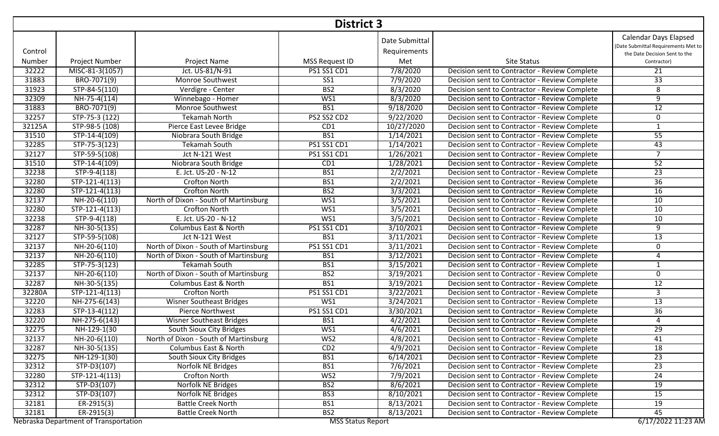|         | <b>District 3</b>                     |                                       |                          |                                |                                               |                                                                                                      |  |  |  |
|---------|---------------------------------------|---------------------------------------|--------------------------|--------------------------------|-----------------------------------------------|------------------------------------------------------------------------------------------------------|--|--|--|
| Control |                                       |                                       |                          | Date Submittal<br>Requirements |                                               | <b>Calendar Days Elapsed</b><br>(Date Submittal Requirements Met to<br>the Date Decision Sent to the |  |  |  |
| Number  | Project Number                        | Project Name                          | MSS Request ID           | Met                            | <b>Site Status</b>                            | Contractor)                                                                                          |  |  |  |
| 32222   | MISC-81-3(1057)                       | Jct. US-81/N-91                       | PS1 SS1 CD1              | 7/8/2020                       | Decision sent to Contractor - Review Complete | 21                                                                                                   |  |  |  |
| 31883   | BRO-7071(9)                           | Monroe Southwest                      | SS <sub>1</sub>          | 7/9/2020                       | Decision sent to Contractor - Review Complete | 33                                                                                                   |  |  |  |
| 31923   | STP-84-5(110)                         | Verdigre - Center                     | B <sub>S2</sub>          | 8/3/2020                       | Decision sent to Contractor - Review Complete | $\overline{\infty}$                                                                                  |  |  |  |
| 32309   | $NH-75-4(114)$                        | Winnebago - Homer                     | WS1                      | 8/3/2020                       | Decision sent to Contractor - Review Complete | $\overline{9}$                                                                                       |  |  |  |
| 31883   | BRO-7071(9)                           | Monroe Southwest                      | BS1                      | 9/18/2020                      | Decision sent to Contractor - Review Complete | 12                                                                                                   |  |  |  |
| 32257   | $STP-75-3(122)$                       | <b>Tekamah North</b>                  | PS2 SS2 CD2              | 9/22/2020                      | Decision sent to Contractor - Review Complete | 0                                                                                                    |  |  |  |
| 32125A  | STP-98-5 (108)                        | Pierce East Levee Bridge              | CD1                      | 10/27/2020                     | Decision sent to Contractor - Review Complete | $\mathbf{1}$                                                                                         |  |  |  |
| 31510   | STP-14-4(109)                         | Niobrara South Bridge                 | BS1                      | 1/14/2021                      | Decision sent to Contractor - Review Complete | 55                                                                                                   |  |  |  |
| 32285   | STP-75-3(123)                         | <b>Tekamah South</b>                  | <b>PS1 SS1 CD1</b>       | 1/14/2021                      | Decision sent to Contractor - Review Complete | 43                                                                                                   |  |  |  |
| 32127   | STP-59-5(108)                         | Jct N-121 West                        | PS1 SS1 CD1              | 1/26/2021                      | Decision sent to Contractor - Review Complete | $\overline{7}$                                                                                       |  |  |  |
| 31510   | STP-14-4(109)                         | Niobrara South Bridge                 | CD1                      | 1/28/2021                      | Decision sent to Contractor - Review Complete | 52                                                                                                   |  |  |  |
| 32238   | $STP-9-4(118)$                        | E. Jct. US-20 - N-12                  | BS1                      | 2/2/2021                       | Decision sent to Contractor - Review Complete | $\overline{23}$                                                                                      |  |  |  |
| 32280   | $STP-121-4(113)$                      | <b>Crofton North</b>                  | BS1                      | 2/2/2021                       | Decision sent to Contractor - Review Complete | $\overline{36}$                                                                                      |  |  |  |
| 32280   | $STP-121-4(113)$                      | Crofton North                         | B <sub>S2</sub>          | 3/3/2021                       | Decision sent to Contractor - Review Complete | 16                                                                                                   |  |  |  |
| 32137   | NH-20-6(110)                          | North of Dixon - South of Martinsburg | WS1                      | 3/5/2021                       | Decision sent to Contractor - Review Complete | 10                                                                                                   |  |  |  |
| 32280   | $STP-121-4(113)$                      | <b>Crofton North</b>                  | WS1                      | 3/5/2021                       | Decision sent to Contractor - Review Complete | 10                                                                                                   |  |  |  |
| 32238   | STP-9-4(118)                          | E. Jct. US-20 - N-12                  | WS1                      | 3/5/2021                       | Decision sent to Contractor - Review Complete | 10                                                                                                   |  |  |  |
| 32287   | NH-30-5(135)                          | Columbus East & North                 | PS1 SS1 CD1              | 3/10/2021                      | Decision sent to Contractor - Review Complete | 9                                                                                                    |  |  |  |
| 32127   | STP-59-5(108)                         | Jct N-121 West                        | BS1                      | 3/11/2021                      | Decision sent to Contractor - Review Complete | 13                                                                                                   |  |  |  |
| 32137   | NH-20-6(110)                          | North of Dixon - South of Martinsburg | <b>PS1 SS1 CD1</b>       | 3/11/2021                      | Decision sent to Contractor - Review Complete | 0                                                                                                    |  |  |  |
| 32137   | NH-20-6(110)                          | North of Dixon - South of Martinsburg | BS1                      | 3/12/2021                      | Decision sent to Contractor - Review Complete | 4                                                                                                    |  |  |  |
| 32285   | STP-75-3(123)                         | <b>Tekamah South</b>                  | BS1                      | 3/15/2021                      | Decision sent to Contractor - Review Complete | $\mathbf{1}$                                                                                         |  |  |  |
| 32137   | NH-20-6(110)                          | North of Dixon - South of Martinsburg | B <sub>S2</sub>          | 3/19/2021                      | Decision sent to Contractor - Review Complete | 0                                                                                                    |  |  |  |
| 32287   | NH-30-5(135)                          | Columbus East & North                 | BS1                      | 3/19/2021                      | Decision sent to Contractor - Review Complete | $\overline{12}$                                                                                      |  |  |  |
| 32280A  | STP-121-4(113)                        | <b>Crofton North</b>                  | <b>PS1 SS1 CD1</b>       | 3/22/2021                      | Decision sent to Contractor - Review Complete | $\overline{3}$                                                                                       |  |  |  |
| 32220   | NH-275-6(143)                         | <b>Wisner Southeast Bridges</b>       | WS1                      | 3/24/2021                      | Decision sent to Contractor - Review Complete | 13                                                                                                   |  |  |  |
| 32283   | STP-13-4(112)                         | Pierce Northwest                      | PS1 SS1 CD1              | 3/30/2021                      | Decision sent to Contractor - Review Complete | $\overline{36}$                                                                                      |  |  |  |
| 32220   | $NH-275-6(143)$                       | <b>Wisner Southeast Bridges</b>       | BS1                      | 4/2/2021                       | Decision sent to Contractor - Review Complete | 4                                                                                                    |  |  |  |
| 32275   | NH-129-1(30                           | South Sioux City Bridges              | WS1                      | 4/6/2021                       | Decision sent to Contractor - Review Complete | $\overline{29}$                                                                                      |  |  |  |
| 32137   | NH-20-6(110)                          | North of Dixon - South of Martinsburg | WS2                      | 4/8/2021                       | Decision sent to Contractor - Review Complete | 41                                                                                                   |  |  |  |
| 32287   | NH-30-5(135)                          | Columbus East & North                 | CD2                      | 4/9/2021                       | Decision sent to Contractor - Review Complete | $\overline{18}$                                                                                      |  |  |  |
| 32275   | NH-129-1(30)                          | South Sioux City Bridges              | BS1                      | 6/14/2021                      | Decision sent to Contractor - Review Complete | $\overline{23}$                                                                                      |  |  |  |
| 32312   | $STP-D3(107)$                         | Norfolk NE Bridges                    | BS1                      | 7/6/2021                       | Decision sent to Contractor - Review Complete | $\overline{23}$                                                                                      |  |  |  |
| 32280   | STP-121-4(113)                        | Crofton North                         | WS2                      | 7/9/2021                       | Decision sent to Contractor - Review Complete | 24                                                                                                   |  |  |  |
| 32312   | STP-D3(107)                           | Norfolk NE Bridges                    | BS <sub>2</sub>          | 8/6/2021                       | Decision sent to Contractor - Review Complete | 19                                                                                                   |  |  |  |
| 32312   | STP-D3(107)                           | Norfolk NE Bridges                    | BS3                      | 8/10/2021                      | Decision sent to Contractor - Review Complete | $\overline{15}$                                                                                      |  |  |  |
| 32181   | $ER-2915(3)$                          | <b>Battle Creek North</b>             | BS1                      | 8/13/2021                      | Decision sent to Contractor - Review Complete | 19                                                                                                   |  |  |  |
| 32181   | $ER-2915(3)$                          | <b>Battle Creek North</b>             | BS <sub>2</sub>          | 8/13/2021                      | Decision sent to Contractor - Review Complete | 45                                                                                                   |  |  |  |
|         | Nebraska Department of Transportation |                                       | <b>MSS Status Report</b> |                                |                                               | 6/17/2022 11:23 AM                                                                                   |  |  |  |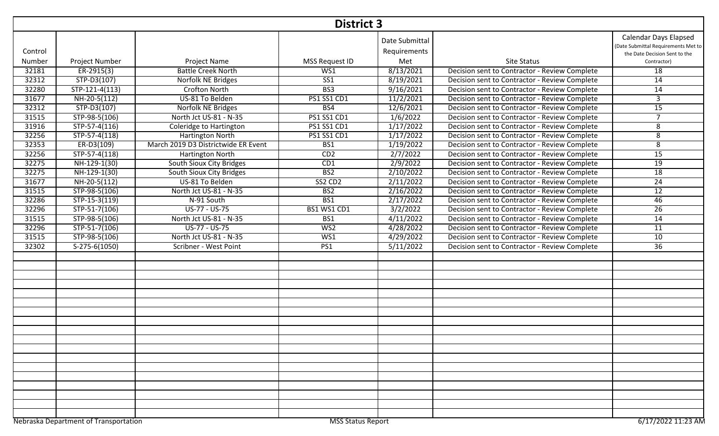|         | <b>District 3</b>                                                                       |                                     |                         |                                |                                               |                                                                                                      |  |  |  |
|---------|-----------------------------------------------------------------------------------------|-------------------------------------|-------------------------|--------------------------------|-----------------------------------------------|------------------------------------------------------------------------------------------------------|--|--|--|
| Control |                                                                                         |                                     |                         | Date Submittal<br>Requirements |                                               | <b>Calendar Days Elapsed</b><br>(Date Submittal Requirements Met to<br>the Date Decision Sent to the |  |  |  |
| Number  | Project Number                                                                          | <b>Project Name</b>                 | MSS Request ID          | Met                            | <b>Site Status</b>                            | Contractor)                                                                                          |  |  |  |
| 32181   | $ER-2915(3)$                                                                            | <b>Battle Creek North</b>           | WS1                     | 8/13/2021                      | Decision sent to Contractor - Review Complete | 18                                                                                                   |  |  |  |
| 32312   | STP-D3(107)                                                                             | Norfolk NE Bridges                  | $\overline{\text{SS1}}$ | 8/19/2021                      | Decision sent to Contractor - Review Complete | 14                                                                                                   |  |  |  |
| 32280   | $STP-121-4(113)$                                                                        | <b>Crofton North</b>                | BS3                     | 9/16/2021                      | Decision sent to Contractor - Review Complete | $\overline{14}$                                                                                      |  |  |  |
| 31677   | NH-20-5(112)                                                                            | US-81 To Belden                     | PS1 SS1 CD1             | 11/2/2021                      | Decision sent to Contractor - Review Complete | $\overline{3}$                                                                                       |  |  |  |
| 32312   | $STP-D3(107)$                                                                           | Norfolk NE Bridges                  | BS4                     | 12/6/2021                      | Decision sent to Contractor - Review Complete | 15                                                                                                   |  |  |  |
| 31515   | STP-98-5(106)                                                                           | North Jct US-81 - N-35              | <b>PS1 SS1 CD1</b>      | 1/6/2022                       | Decision sent to Contractor - Review Complete | $\overline{7}$                                                                                       |  |  |  |
| 31916   | STP-57-4(116)                                                                           | Coleridge to Hartington             | <b>PS1 SS1 CD1</b>      | 1/17/2022                      | Decision sent to Contractor - Review Complete | 8                                                                                                    |  |  |  |
| 32256   | STP-57-4(118)                                                                           | Hartington North                    | <b>PS1 SS1 CD1</b>      | 1/17/2022                      | Decision sent to Contractor - Review Complete | 8                                                                                                    |  |  |  |
| 32353   | $ER-D3(109)$                                                                            | March 2019 D3 Districtwide ER Event | BS1                     | 1/19/2022                      | Decision sent to Contractor - Review Complete | 8                                                                                                    |  |  |  |
| 32256   | STP-57-4(118)                                                                           | Hartington North                    | CD2                     | 2/7/2022                       | Decision sent to Contractor - Review Complete | $\overline{15}$                                                                                      |  |  |  |
| 32275   | NH-129-1(30)                                                                            | South Sioux City Bridges            | CD1                     | 2/9/2022                       | Decision sent to Contractor - Review Complete | 19                                                                                                   |  |  |  |
| 32275   | NH-129-1(30)                                                                            | South Sioux City Bridges            | BS <sub>2</sub>         | 2/10/2022                      | Decision sent to Contractor - Review Complete | 18                                                                                                   |  |  |  |
| 31677   | NH-20-5(112)                                                                            | US-81 To Belden                     | SS2 CD2                 | 2/11/2022                      | Decision sent to Contractor - Review Complete | $\overline{24}$                                                                                      |  |  |  |
| 31515   | STP-98-5(106)                                                                           | North Jct US-81 - N-35              | B <sub>S2</sub>         | 2/16/2022                      | Decision sent to Contractor - Review Complete | 12                                                                                                   |  |  |  |
| 32286   | STP-15-3(119)                                                                           | N-91 South                          | BS1                     | 2/17/2022                      | Decision sent to Contractor - Review Complete | 46                                                                                                   |  |  |  |
| 32296   | STP-51-7(106)                                                                           | US-77 - US-75                       | BS1 WS1 CD1             | 3/2/2022                       | Decision sent to Contractor - Review Complete | $\overline{26}$                                                                                      |  |  |  |
| 31515   | STP-98-5(106)                                                                           | North Jct US-81 - N-35              | BS1                     | 4/11/2022                      | Decision sent to Contractor - Review Complete | 14                                                                                                   |  |  |  |
| 32296   | STP-51-7(106)                                                                           | US-77 - US-75                       | W <sub>S2</sub>         | 4/28/2022                      | Decision sent to Contractor - Review Complete | $\overline{11}$                                                                                      |  |  |  |
| 31515   | STP-98-5(106)                                                                           | North Jct US-81 - N-35              | WS1                     | 4/29/2022                      | Decision sent to Contractor - Review Complete | 10                                                                                                   |  |  |  |
| 32302   | S-275-6(1050)                                                                           | Scribner - West Point               | PS1                     | 5/11/2022                      | Decision sent to Contractor - Review Complete | 36                                                                                                   |  |  |  |
|         |                                                                                         |                                     |                         |                                |                                               |                                                                                                      |  |  |  |
|         |                                                                                         |                                     |                         |                                |                                               |                                                                                                      |  |  |  |
|         |                                                                                         |                                     |                         |                                |                                               |                                                                                                      |  |  |  |
|         |                                                                                         |                                     |                         |                                |                                               |                                                                                                      |  |  |  |
|         |                                                                                         |                                     |                         |                                |                                               |                                                                                                      |  |  |  |
|         |                                                                                         |                                     |                         |                                |                                               |                                                                                                      |  |  |  |
|         |                                                                                         |                                     |                         |                                |                                               |                                                                                                      |  |  |  |
|         |                                                                                         |                                     |                         |                                |                                               |                                                                                                      |  |  |  |
|         |                                                                                         |                                     |                         |                                |                                               |                                                                                                      |  |  |  |
|         |                                                                                         |                                     |                         |                                |                                               |                                                                                                      |  |  |  |
|         |                                                                                         |                                     |                         |                                |                                               |                                                                                                      |  |  |  |
|         |                                                                                         |                                     |                         |                                |                                               |                                                                                                      |  |  |  |
|         |                                                                                         |                                     |                         |                                |                                               |                                                                                                      |  |  |  |
|         |                                                                                         |                                     |                         |                                |                                               |                                                                                                      |  |  |  |
|         |                                                                                         |                                     |                         |                                |                                               |                                                                                                      |  |  |  |
|         |                                                                                         |                                     |                         |                                |                                               |                                                                                                      |  |  |  |
|         |                                                                                         |                                     |                         |                                |                                               |                                                                                                      |  |  |  |
|         |                                                                                         |                                     |                         |                                |                                               |                                                                                                      |  |  |  |
|         | Nebraska Department of Transportation<br><b>MSS Status Report</b><br>6/17/2022 11:23 AM |                                     |                         |                                |                                               |                                                                                                      |  |  |  |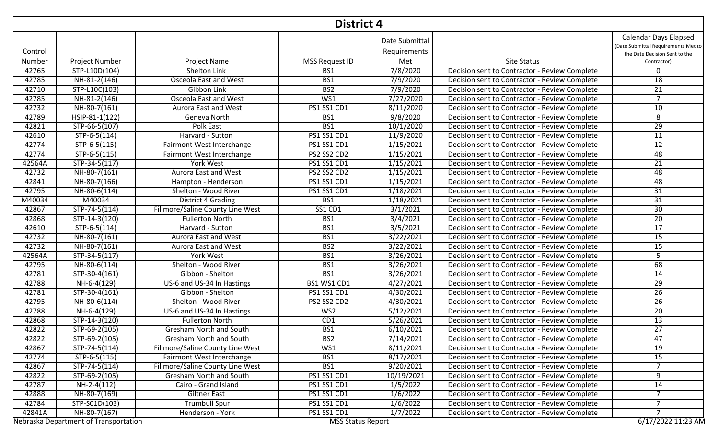|         | <b>District 4</b>                     |                                         |                          |                                |                                               |                                                                                                      |  |  |  |
|---------|---------------------------------------|-----------------------------------------|--------------------------|--------------------------------|-----------------------------------------------|------------------------------------------------------------------------------------------------------|--|--|--|
| Control |                                       |                                         |                          | Date Submittal<br>Requirements |                                               | <b>Calendar Days Elapsed</b><br>(Date Submittal Requirements Met to<br>the Date Decision Sent to the |  |  |  |
| Number  | <b>Project Number</b>                 | Project Name                            | <b>MSS Request ID</b>    | Met                            | <b>Site Status</b>                            | Contractor)                                                                                          |  |  |  |
| 42765   | STP-L10D(104)                         | Shelton Link                            | BS1                      | 7/8/2020                       | Decision sent to Contractor - Review Complete | 0                                                                                                    |  |  |  |
| 42785   | NH-81-2(146)                          | Osceola East and West                   | BS1                      | 7/9/2020                       | Decision sent to Contractor - Review Complete | 18                                                                                                   |  |  |  |
| 42710   | STP-L10C(103)                         | Gibbon Link                             | B <sub>S2</sub>          | 7/9/2020                       | Decision sent to Contractor - Review Complete | $\overline{21}$                                                                                      |  |  |  |
| 42785   | $NH-81-2(146)$                        | <b>Osceola East and West</b>            | WS1                      | 7/27/2020                      | Decision sent to Contractor - Review Complete | $\overline{7}$                                                                                       |  |  |  |
| 42732   | NH-80-7(161)                          | <b>Aurora East and West</b>             | <b>PS1 SS1 CD1</b>       | 8/11/2020                      | Decision sent to Contractor - Review Complete | 10                                                                                                   |  |  |  |
| 42789   | HSIP-81-1(122)                        | Geneva North                            | BS1                      | 9/8/2020                       | Decision sent to Contractor - Review Complete | 8                                                                                                    |  |  |  |
| 42821   | STP-66-5(107)                         | <b>Polk East</b>                        | BS1                      | 10/1/2020                      | Decision sent to Contractor - Review Complete | $\overline{29}$                                                                                      |  |  |  |
| 42610   | $STP-6-5(114)$                        | Harvard - Sutton                        | PS1 SS1 CD1              | 11/9/2020                      | Decision sent to Contractor - Review Complete | 11                                                                                                   |  |  |  |
| 42774   | STP-6-5(115)                          | Fairmont West Interchange               | PS1 SS1 CD1              | 1/15/2021                      | Decision sent to Contractor - Review Complete | $\overline{12}$                                                                                      |  |  |  |
| 42774   | STP-6-5(115)                          | Fairmont West Interchange               | PS2 SS2 CD2              | 1/15/2021                      | Decision sent to Contractor - Review Complete | 48                                                                                                   |  |  |  |
| 42564A  | STP-34-5(117)                         | <b>York West</b>                        | <b>PS1 SS1 CD1</b>       | 1/15/2021                      | Decision sent to Contractor - Review Complete | $\overline{21}$                                                                                      |  |  |  |
| 42732   | NH-80-7(161)                          | <b>Aurora East and West</b>             | PS2 SS2 CD2              | 1/15/2021                      | Decision sent to Contractor - Review Complete | 48                                                                                                   |  |  |  |
| 42841   | NH-80-7(166)                          | Hampton - Henderson                     | PS1 SS1 CD1              | 1/15/2021                      | Decision sent to Contractor - Review Complete | 48                                                                                                   |  |  |  |
| 42795   | NH-80-6(114)                          | Shelton - Wood River                    | PS1 SS1 CD1              | 1/18/2021                      | Decision sent to Contractor - Review Complete | $\overline{31}$                                                                                      |  |  |  |
| M40034  | M40034                                | District 4 Grading                      | BS1                      | 1/18/2021                      | Decision sent to Contractor - Review Complete | $\overline{31}$                                                                                      |  |  |  |
| 42867   | $STP-74-5(114)$                       | Fillmore/Saline County Line West        | <b>SS1 CD1</b>           | 3/1/2021                       | Decision sent to Contractor - Review Complete | $\overline{30}$                                                                                      |  |  |  |
| 42868   | STP-14-3(120)                         | <b>Fullerton North</b>                  | BS1                      | 3/4/2021                       | Decision sent to Contractor - Review Complete | 20                                                                                                   |  |  |  |
| 42610   | $STP-6-5(114)$                        | Harvard - Sutton                        | BS1                      | 3/5/2021                       | Decision sent to Contractor - Review Complete | $\overline{17}$                                                                                      |  |  |  |
| 42732   | NH-80-7(161)                          | <b>Aurora East and West</b>             | BS1                      | 3/22/2021                      | Decision sent to Contractor - Review Complete | 15                                                                                                   |  |  |  |
| 42732   | NH-80-7(161)                          | Aurora East and West                    | BS <sub>2</sub>          | 3/22/2021                      | Decision sent to Contractor - Review Complete | 15                                                                                                   |  |  |  |
| 42564A  | STP-34-5(117)                         | York West                               | BS1                      | 3/26/2021                      | Decision sent to Contractor - Review Complete | 5                                                                                                    |  |  |  |
| 42795   | NH-80-6(114)                          | Shelton - Wood River                    | BS1                      | 3/26/2021                      | Decision sent to Contractor - Review Complete | 68                                                                                                   |  |  |  |
| 42781   | $STP-30-4(161)$                       | Gibbon - Shelton                        | BS1                      | 3/26/2021                      | Decision sent to Contractor - Review Complete | 14                                                                                                   |  |  |  |
| 42788   | $NH-6-4(129)$                         | US-6 and US-34 In Hastings              | BS1 WS1 CD1              | 4/27/2021                      | Decision sent to Contractor - Review Complete | 29                                                                                                   |  |  |  |
| 42781   | STP-30-4(161)                         | Gibbon - Shelton                        | <b>PS1 SS1 CD1</b>       | 4/30/2021                      | Decision sent to Contractor - Review Complete | $\overline{26}$                                                                                      |  |  |  |
| 42795   | $NH-80-6(114)$                        | Shelton - Wood River                    | PS2 SS2 CD2              | 4/30/2021                      | Decision sent to Contractor - Review Complete | 26                                                                                                   |  |  |  |
| 42788   | NH-6-4(129)                           | US-6 and US-34 In Hastings              | WS <sub>2</sub>          | 5/12/2021                      | Decision sent to Contractor - Review Complete | 20                                                                                                   |  |  |  |
| 42868   | STP-14-3(120)                         | <b>Fullerton North</b>                  | CD1                      | 5/26/2021                      | Decision sent to Contractor - Review Complete | 13                                                                                                   |  |  |  |
| 42822   | $STP-69-2(105)$                       | <b>Gresham North and South</b>          | BS1                      | 6/10/2021                      | Decision sent to Contractor - Review Complete | $\overline{27}$                                                                                      |  |  |  |
| 42822   | STP-69-2(105)                         | <b>Gresham North and South</b>          | BS <sub>2</sub>          | 7/14/2021                      | Decision sent to Contractor - Review Complete | 47                                                                                                   |  |  |  |
| 42867   | STP-74-5(114)                         | Fillmore/Saline County Line West        | WS1                      | 8/11/2021                      | Decision sent to Contractor - Review Complete | 19                                                                                                   |  |  |  |
| 42774   | STP-6-5(115)                          | Fairmont West Interchange               | BS1                      | 8/17/2021                      | Decision sent to Contractor - Review Complete | 15                                                                                                   |  |  |  |
| 42867   | $STP-74-5(114)$                       | <b>Fillmore/Saline County Line West</b> | BS1                      | 9/20/2021                      | Decision sent to Contractor - Review Complete | 7                                                                                                    |  |  |  |
| 42822   | STP-69-2(105)                         | <b>Gresham North and South</b>          | PS1 SS1 CD1              | 10/19/2021                     | Decision sent to Contractor - Review Complete | 9                                                                                                    |  |  |  |
| 42787   | NH-2-4(112)                           | Cairo - Grand Island                    | PS1 SS1 CD1              | 1/5/2022                       | Decision sent to Contractor - Review Complete | 14                                                                                                   |  |  |  |
| 42888   | NH-80-7(169)                          | Giltner East                            | PS1 SS1 CD1              | 1/6/2022                       | Decision sent to Contractor - Review Complete | $\overline{7}$                                                                                       |  |  |  |
| 42784   | STP-S01D(103)                         | <b>Trumbull Spur</b>                    | PS1 SS1 CD1              | 1/6/2022                       | Decision sent to Contractor - Review Complete | $\overline{7}$                                                                                       |  |  |  |
| 42841A  | NH-80-7(167)                          | Henderson - York                        | PS1 SS1 CD1              | 1/7/2022                       | Decision sent to Contractor - Review Complete | $\overline{7}$                                                                                       |  |  |  |
|         | Nebraska Department of Transportation |                                         | <b>MSS Status Report</b> |                                |                                               | 6/17/2022 11:23 AM                                                                                   |  |  |  |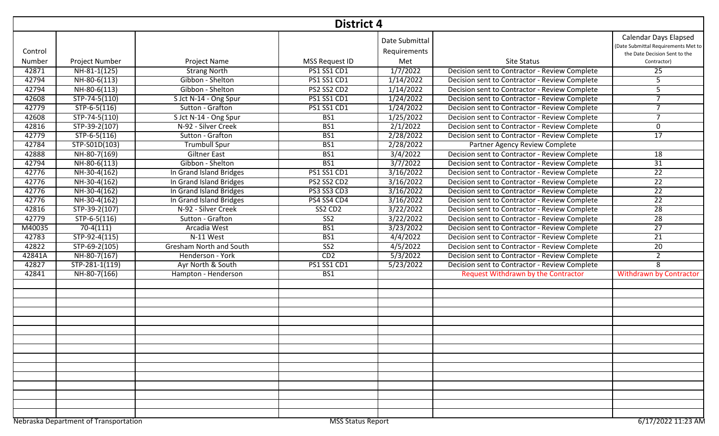|         | <b>District 4</b>                     |                                |                          |                                |                                               |                                                                                                      |  |  |  |
|---------|---------------------------------------|--------------------------------|--------------------------|--------------------------------|-----------------------------------------------|------------------------------------------------------------------------------------------------------|--|--|--|
| Control |                                       |                                |                          | Date Submittal<br>Requirements |                                               | <b>Calendar Days Elapsed</b><br>(Date Submittal Requirements Met to<br>the Date Decision Sent to the |  |  |  |
| Number  | Project Number                        | Project Name                   | MSS Request ID           | Met                            | <b>Site Status</b>                            | Contractor)                                                                                          |  |  |  |
| 42871   | NH-81-1(125)                          | <b>Strang North</b>            | <b>PS1 SS1 CD1</b>       | 1/7/2022                       | Decision sent to Contractor - Review Complete | 25                                                                                                   |  |  |  |
| 42794   | NH-80-6(113)                          | Gibbon - Shelton               | <b>PS1 SS1 CD1</b>       | 1/14/2022                      | Decision sent to Contractor - Review Complete | 5                                                                                                    |  |  |  |
| 42794   | NH-80-6(113)                          | Gibbon - Shelton               | PS2 SS2 CD2              | 1/14/2022                      | Decision sent to Contractor - Review Complete | 5                                                                                                    |  |  |  |
| 42608   | $STP-74-5(110)$                       | S Jct N-14 - Ong Spur          | <b>PS1 SS1 CD1</b>       | 1/24/2022                      | Decision sent to Contractor - Review Complete | $\overline{7}$                                                                                       |  |  |  |
| 42779   | $STP-6-5(116)$                        | Sutton - Grafton               | <b>PS1 SS1 CD1</b>       | 1/24/2022                      | Decision sent to Contractor - Review Complete | $\overline{7}$                                                                                       |  |  |  |
| 42608   | STP-74-5(110)                         | S Jct N-14 - Ong Spur          | BS1                      | 1/25/2022                      | Decision sent to Contractor - Review Complete | $\overline{7}$                                                                                       |  |  |  |
| 42816   | STP-39-2(107)                         | N-92 - Silver Creek            | BS1                      | 2/1/2022                       | Decision sent to Contractor - Review Complete | 0                                                                                                    |  |  |  |
| 42779   | STP-6-5(116)                          | Sutton - Grafton               | BS1                      | 2/28/2022                      | Decision sent to Contractor - Review Complete | 17                                                                                                   |  |  |  |
| 42784   | STP-S01D(103)                         | <b>Trumbull Spur</b>           | BS1                      | 2/28/2022                      | Partner Agency Review Complete                |                                                                                                      |  |  |  |
| 42888   | NH-80-7(169)                          | <b>Giltner East</b>            | BS1                      | 3/4/2022                       | Decision sent to Contractor - Review Complete | 18                                                                                                   |  |  |  |
| 42794   | $NH-80-6(113)$                        | Gibbon - Shelton               | BS1                      | 3/7/2022                       | Decision sent to Contractor - Review Complete | $\overline{31}$                                                                                      |  |  |  |
| 42776   | NH-30-4(162)                          | In Grand Island Bridges        | <b>PS1 SS1 CD1</b>       | 3/16/2022                      | Decision sent to Contractor - Review Complete | $\overline{22}$                                                                                      |  |  |  |
| 42776   | NH-30-4(162)                          | In Grand Island Bridges        | PS2 SS2 CD2              | 3/16/2022                      | Decision sent to Contractor - Review Complete | $\overline{22}$                                                                                      |  |  |  |
| 42776   | NH-30-4(162)                          | In Grand Island Bridges        | <b>PS3 SS3 CD3</b>       | 3/16/2022                      | Decision sent to Contractor - Review Complete | $\overline{22}$                                                                                      |  |  |  |
| 42776   | NH-30-4(162)                          | In Grand Island Bridges        | PS4 SS4 CD4              | 3/16/2022                      | Decision sent to Contractor - Review Complete | $\overline{22}$                                                                                      |  |  |  |
| 42816   | STP-39-2(107)                         | N-92 - Silver Creek            | SS2 CD2                  | 3/22/2022                      | Decision sent to Contractor - Review Complete | $\overline{28}$                                                                                      |  |  |  |
| 42779   | STP-6-5(116)                          | Sutton - Grafton               | $\overline{\text{SS2}}$  | 3/22/2022                      | Decision sent to Contractor - Review Complete | 28                                                                                                   |  |  |  |
| M40035  | $70-4(111)$                           | Arcadia West                   | BS1                      | 3/23/2022                      | Decision sent to Contractor - Review Complete | $\overline{27}$                                                                                      |  |  |  |
| 42783   | STP-92-4(115)                         | N-11 West                      | B <sub>S1</sub>          | 4/4/2022                       | Decision sent to Contractor - Review Complete | $\overline{21}$                                                                                      |  |  |  |
| 42822   | STP-69-2(105)                         | <b>Gresham North and South</b> | SS <sub>2</sub>          | 4/5/2022                       | Decision sent to Contractor - Review Complete | 20                                                                                                   |  |  |  |
| 42841A  | NH-80-7(167)                          | Henderson - York               | CD2                      | 5/3/2022                       | Decision sent to Contractor - Review Complete | $\overline{2}$                                                                                       |  |  |  |
| 42827   | STP-281-1(119)                        | Ayr North & South              | <b>PS1 SS1 CD1</b>       | 5/23/2022                      | Decision sent to Contractor - Review Complete | 8                                                                                                    |  |  |  |
| 42841   | NH-80-7(166)                          | Hampton - Henderson            | BS1                      |                                | Request Withdrawn by the Contractor           | <b>Withdrawn by Contractor</b>                                                                       |  |  |  |
|         |                                       |                                |                          |                                |                                               |                                                                                                      |  |  |  |
|         |                                       |                                |                          |                                |                                               |                                                                                                      |  |  |  |
|         |                                       |                                |                          |                                |                                               |                                                                                                      |  |  |  |
|         |                                       |                                |                          |                                |                                               |                                                                                                      |  |  |  |
|         |                                       |                                |                          |                                |                                               |                                                                                                      |  |  |  |
|         |                                       |                                |                          |                                |                                               |                                                                                                      |  |  |  |
|         | Nebraska Department of Transportation |                                | <b>MSS Status Report</b> |                                |                                               | 6/17/2022 11:23 AM                                                                                   |  |  |  |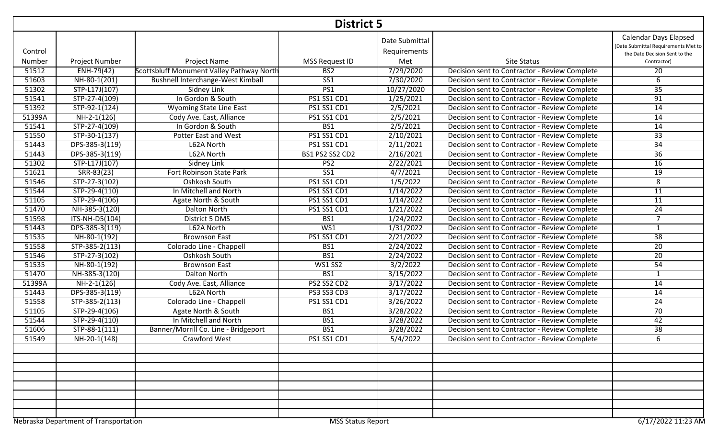|         | <b>District 5</b>                     |                                           |                          |                                |                                               |                                                                                                      |  |  |  |
|---------|---------------------------------------|-------------------------------------------|--------------------------|--------------------------------|-----------------------------------------------|------------------------------------------------------------------------------------------------------|--|--|--|
| Control |                                       |                                           |                          | Date Submittal<br>Requirements |                                               | <b>Calendar Days Elapsed</b><br>(Date Submittal Requirements Met to<br>the Date Decision Sent to the |  |  |  |
| Number  | Project Number                        | Project Name                              | MSS Request ID           | Met                            | <b>Site Status</b>                            | Contractor)                                                                                          |  |  |  |
| 51512   | ENH-79(42)                            | Scottsbluff Monument Valley Pathway North | BS <sub>2</sub>          | 7/29/2020                      | Decision sent to Contractor - Review Complete | 20                                                                                                   |  |  |  |
| 51603   | NH-80-1(201)                          | Bushnell Interchange-West Kimball         | SS <sub>1</sub>          | 7/30/2020                      | Decision sent to Contractor - Review Complete | 6                                                                                                    |  |  |  |
| 51302   | STP-L17J(107)                         | <b>Sidney Link</b>                        | PS1                      | 10/27/2020                     | Decision sent to Contractor - Review Complete | 35                                                                                                   |  |  |  |
| 51541   | STP-27-4(109)                         | In Gordon & South                         | PS1 SS1 CD1              | 1/25/2021                      | Decision sent to Contractor - Review Complete | 91                                                                                                   |  |  |  |
| 51392   | STP-92-1(124)                         | <b>Wyoming State Line East</b>            | PS1 SS1 CD1              | 2/5/2021                       | Decision sent to Contractor - Review Complete | 14                                                                                                   |  |  |  |
| 51399A  | NH-2-1(126)                           | Cody Ave. East, Alliance                  | PS1 SS1 CD1              | 2/5/2021                       | Decision sent to Contractor - Review Complete | 14                                                                                                   |  |  |  |
| 51541   | $STP-27-4(109)$                       | In Gordon & South                         | BS1                      | 2/5/2021                       | Decision sent to Contractor - Review Complete | 14                                                                                                   |  |  |  |
| 51550   | STP-30-1(137)                         | Potter East and West                      | PS1 SS1 CD1              | 2/10/2021                      | Decision sent to Contractor - Review Complete | 33                                                                                                   |  |  |  |
| 51443   | DPS-385-3(119)                        | L62A North                                | PS1 SS1 CD1              | 2/11/2021                      | Decision sent to Contractor - Review Complete | 34                                                                                                   |  |  |  |
| 51443   | DPS-385-3(119)                        | L62A North                                | BS1 PS2 SS2 CD2          | 2/16/2021                      | Decision sent to Contractor - Review Complete | $\overline{36}$                                                                                      |  |  |  |
| 51302   | STP-L17J(107)                         | Sidney Link                               | PS <sub>2</sub>          | 2/22/2021                      | Decision sent to Contractor - Review Complete | 16                                                                                                   |  |  |  |
| 51621   | $SRR-83(23)$                          | Fort Robinson State Park                  | $S51$                    | 4/7/2021                       | Decision sent to Contractor - Review Complete | 19                                                                                                   |  |  |  |
| 51546   | STP-27-3(102)                         | Oshkosh South                             | <b>PS1 SS1 CD1</b>       | 1/5/2022                       | Decision sent to Contractor - Review Complete | 8                                                                                                    |  |  |  |
| 51544   | STP-29-4(110)                         | In Mitchell and North                     | PS1 SS1 CD1              | 1/14/2022                      | Decision sent to Contractor - Review Complete | 11                                                                                                   |  |  |  |
| 51105   | STP-29-4(106)                         | Agate North & South                       | PS1 SS1 CD1              | 1/14/2022                      | Decision sent to Contractor - Review Complete | 11                                                                                                   |  |  |  |
| 51470   | NH-385-3(120)                         | <b>Dalton North</b>                       | <b>PS1 SS1 CD1</b>       | 1/21/2022                      | Decision sent to Contractor - Review Complete | 24                                                                                                   |  |  |  |
| 51598   | $\overline{ITS-NH\text{-}DS(104)}$    | District 5 DMS                            | BS1                      | 1/24/2022                      | Decision sent to Contractor - Review Complete | $\overline{7}$                                                                                       |  |  |  |
| 51443   | DPS-385-3(119)                        | L62A North                                | WS1                      | 1/31/2022                      | Decision sent to Contractor - Review Complete | $\mathbf{1}$                                                                                         |  |  |  |
| 51535   | NH-80-1(192)                          | <b>Brownson East</b>                      | PS1 SS1 CD1              | 2/21/2022                      | Decision sent to Contractor - Review Complete | 38                                                                                                   |  |  |  |
| 51558   | STP-385-2(113)                        | Colorado Line - Chappell                  | BS1                      | 2/24/2022                      | Decision sent to Contractor - Review Complete | $\overline{20}$                                                                                      |  |  |  |
| 51546   | $STP-27-3(102)$                       | Oshkosh South                             | BS1                      | 2/24/2022                      | Decision sent to Contractor - Review Complete | 20                                                                                                   |  |  |  |
| 51535   | NH-80-1(192)                          | <b>Brownson East</b>                      | WS1 SS2                  | 3/2/2022                       | Decision sent to Contractor - Review Complete | $\overline{54}$                                                                                      |  |  |  |
| 51470   | NH-385-3(120)                         | Dalton North                              | BS1                      | 3/15/2022                      | Decision sent to Contractor - Review Complete | $\mathbf{1}$                                                                                         |  |  |  |
| 51399A  | NH-2-1(126)                           | Cody Ave. East, Alliance                  | PS2 SS2 CD2              | 3/17/2022                      | Decision sent to Contractor - Review Complete | $\overline{14}$                                                                                      |  |  |  |
| 51443   | DPS-385-3(119)                        | L62A North                                | <b>PS3 SS3 CD3</b>       | 3/17/2022                      | Decision sent to Contractor - Review Complete | 14                                                                                                   |  |  |  |
| 51558   | STP-385-2(113)                        | Colorado Line - Chappell                  | PS1 SS1 CD1              | 3/26/2022                      | Decision sent to Contractor - Review Complete | 24                                                                                                   |  |  |  |
| 51105   | STP-29-4(106)                         | Agate North & South                       | BS1                      | 3/28/2022                      | Decision sent to Contractor - Review Complete | $\overline{70}$                                                                                      |  |  |  |
| 51544   | STP-29-4(110)                         | In Mitchell and North                     | BS1                      | 3/28/2022                      | Decision sent to Contractor - Review Complete | 42                                                                                                   |  |  |  |
| 51606   | STP-88-1(111)                         | Banner/Morrill Co. Line - Bridgeport      | BS1                      | 3/28/2022                      | Decision sent to Contractor - Review Complete | $\overline{38}$                                                                                      |  |  |  |
| 51549   | NH-20-1(148)                          | Crawford West                             | <b>PS1 SS1 CD1</b>       | 5/4/2022                       | Decision sent to Contractor - Review Complete | 6                                                                                                    |  |  |  |
|         |                                       |                                           |                          |                                |                                               |                                                                                                      |  |  |  |
|         |                                       |                                           |                          |                                |                                               |                                                                                                      |  |  |  |
|         |                                       |                                           |                          |                                |                                               |                                                                                                      |  |  |  |
|         |                                       |                                           |                          |                                |                                               |                                                                                                      |  |  |  |
|         |                                       |                                           |                          |                                |                                               |                                                                                                      |  |  |  |
|         |                                       |                                           |                          |                                |                                               |                                                                                                      |  |  |  |
|         |                                       |                                           |                          |                                |                                               |                                                                                                      |  |  |  |
|         |                                       |                                           |                          |                                |                                               |                                                                                                      |  |  |  |
|         | Nebraska Department of Transportation |                                           | <b>MSS Status Report</b> |                                |                                               | 6/17/2022 11:23 AM                                                                                   |  |  |  |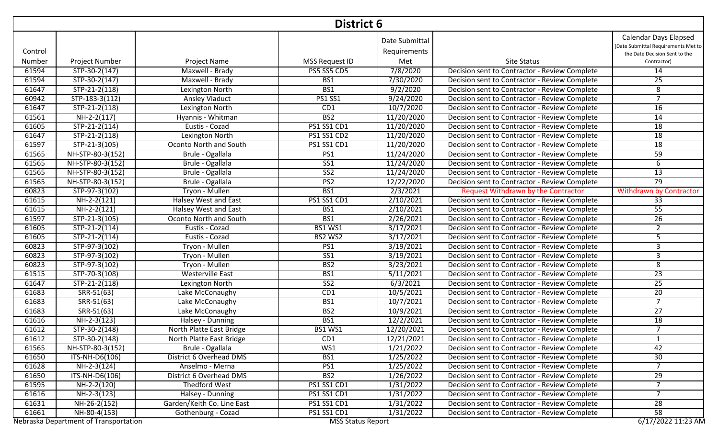|         | <b>District 6</b>                     |                             |                          |                                |                                               |                                                                                                      |  |  |  |
|---------|---------------------------------------|-----------------------------|--------------------------|--------------------------------|-----------------------------------------------|------------------------------------------------------------------------------------------------------|--|--|--|
| Control |                                       |                             |                          | Date Submittal<br>Requirements |                                               | <b>Calendar Days Elapsed</b><br>(Date Submittal Requirements Met to<br>the Date Decision Sent to the |  |  |  |
| Number  | <b>Project Number</b>                 | Project Name                | MSS Request ID           | Met                            | <b>Site Status</b>                            | Contractor)                                                                                          |  |  |  |
| 61594   | STP-30-2(147)                         | Maxwell - Brady             | PS5 SS5 CD5              | 7/8/2020                       | Decision sent to Contractor - Review Complete | 14                                                                                                   |  |  |  |
| 61594   | STP-30-2(147)                         | Maxwell - Brady             | BS1                      | 7/30/2020                      | Decision sent to Contractor - Review Complete | 25                                                                                                   |  |  |  |
| 61647   | $STP-21-2(118)$                       | Lexington North             | BS1                      | 9/2/2020                       | Decision sent to Contractor - Review Complete | 8                                                                                                    |  |  |  |
| 60942   | STP-183-3(112)                        | <b>Ansley Viaduct</b>       | <b>PS1 SS1</b>           | 9/24/2020                      | Decision sent to Contractor - Review Complete | $\overline{7}$                                                                                       |  |  |  |
| 61647   | $STP-21-2(118)$                       | Lexington North             | CD1                      | 10/7/2020                      | Decision sent to Contractor - Review Complete | 16                                                                                                   |  |  |  |
| 61561   | $NH-2-2(117)$                         | Hyannis - Whitman           | B <sub>S2</sub>          | 11/20/2020                     | Decision sent to Contractor - Review Complete | $\overline{14}$                                                                                      |  |  |  |
| 61605   | $STP-21-2(114)$                       | Eustis - Cozad              | PS1 SS1 CD1              | 11/20/2020                     | Decision sent to Contractor - Review Complete | 18                                                                                                   |  |  |  |
| 61647   | STP-21-2(118)                         | Lexington North             | PS1 SS1 CD2              | 11/20/2020                     | Decision sent to Contractor - Review Complete | 18                                                                                                   |  |  |  |
| 61597   | STP-21-3(105)                         | Oconto North and South      | PS1 SS1 CD1              | 11/20/2020                     | Decision sent to Contractor - Review Complete | 18                                                                                                   |  |  |  |
| 61565   | NH-STP-80-3(152)                      | Brule - Ogallala            | PS1                      | 11/24/2020                     | Decision sent to Contractor - Review Complete | 59                                                                                                   |  |  |  |
| 61565   | NH-STP-80-3(152)                      | Brule - Ogallala            | $S51$                    | 11/24/2020                     | Decision sent to Contractor - Review Complete | 6                                                                                                    |  |  |  |
| 61565   | NH-STP-80-3(152)                      | Brule - Ogallala            | SS <sub>2</sub>          | 11/24/2020                     | Decision sent to Contractor - Review Complete | $\overline{13}$                                                                                      |  |  |  |
| 61565   | NH-STP-80-3(152)                      | Brule - Ogallala            | PS2                      | 12/22/2020                     | Decision sent to Contractor - Review Complete | 79                                                                                                   |  |  |  |
| 60823   | STP-97-3(102)                         | Tryon - Mullen              | BS1                      | 2/3/2021                       | <b>Request Withdrawn by the Contractor</b>    | <b>Withdrawn by Contractor</b>                                                                       |  |  |  |
| 61615   | NH-2-2(121)                           | Halsey West and East        | <b>PS1 SS1 CD1</b>       | 2/10/2021                      | Decision sent to Contractor - Review Complete | $\overline{33}$                                                                                      |  |  |  |
| 61615   | NH-2-2(121)                           | <b>Halsey West and East</b> | BS1                      | 2/10/2021                      | Decision sent to Contractor - Review Complete | 55                                                                                                   |  |  |  |
| 61597   | STP-21-3(105)                         | Oconto North and South      | BS1                      | 2/26/2021                      | Decision sent to Contractor - Review Complete | 26                                                                                                   |  |  |  |
| 61605   | $STP-21-2(114)$                       | Eustis - Cozad              | <b>BS1 WS1</b>           | 3/17/2021                      | Decision sent to Contractor - Review Complete | $\overline{2}$                                                                                       |  |  |  |
| 61605   | $STP-21-2(114)$                       | Eustis - Cozad              | <b>BS2 WS2</b>           | 3/17/2021                      | Decision sent to Contractor - Review Complete | 5                                                                                                    |  |  |  |
| 60823   | STP-97-3(102)                         | Tryon - Mullen              | PS <sub>1</sub>          | 3/19/2021                      | Decision sent to Contractor - Review Complete | 3                                                                                                    |  |  |  |
| 60823   | STP-97-3(102)                         | Tryon - Mullen              | $\overline{\text{SS1}}$  | 3/19/2021                      | Decision sent to Contractor - Review Complete | 3                                                                                                    |  |  |  |
| 60823   | STP-97-3(102)                         | Tryon - Mullen              | B <sub>S2</sub>          | 3/23/2021                      | Decision sent to Contractor - Review Complete | $\overline{8}$                                                                                       |  |  |  |
| 61515   | $STP-70-3(108)$                       | <b>Westerville East</b>     | BS1                      | 5/11/2021                      | Decision sent to Contractor - Review Complete | $\overline{23}$                                                                                      |  |  |  |
| 61647   | $STP-21-2(118)$                       | Lexington North             | SS <sub>2</sub>          | 6/3/2021                       | Decision sent to Contractor - Review Complete | $\overline{25}$                                                                                      |  |  |  |
| 61683   | $SRR-51(63)$                          | Lake McConaughy             | CD1                      | 10/5/2021                      | Decision sent to Contractor - Review Complete | $\overline{20}$                                                                                      |  |  |  |
| 61683   | $SRR-51(63)$                          | Lake McConaughy             | BS1                      | 10/7/2021                      | Decision sent to Contractor - Review Complete | 7                                                                                                    |  |  |  |
| 61683   | $SRR-51(63)$                          | Lake McConaughy             | BS2                      | 10/9/2021                      | Decision sent to Contractor - Review Complete | $\overline{27}$                                                                                      |  |  |  |
| 61616   | NH-2-3(123)                           | Halsey - Dunning            | BS1                      | 12/2/2021                      | Decision sent to Contractor - Review Complete | 18                                                                                                   |  |  |  |
| 61612   | STP-30-2(148)                         | North Platte East Bridge    | <b>BS1 WS1</b>           | 12/20/2021                     | Decision sent to Contractor - Review Complete | $\overline{7}$                                                                                       |  |  |  |
| 61612   | STP-30-2(148)                         | North Platte East Bridge    | CD1                      | 12/21/2021                     | Decision sent to Contractor - Review Complete | $\mathbf{1}$                                                                                         |  |  |  |
| 61565   | NH-STP-80-3(152)                      | Brule - Ogallala            | WS1                      | 1/21/2022                      | Decision sent to Contractor - Review Complete | 42                                                                                                   |  |  |  |
| 61650   | ITS-NH-D6(106)                        | District 6 Overhead DMS     | BS1                      | 1/25/2022                      | Decision sent to Contractor - Review Complete | 30                                                                                                   |  |  |  |
| 61628   | $NH-2-3(124)$                         | Anselmo - Merna             | PS1                      | 1/25/2022                      | Decision sent to Contractor - Review Complete | 7                                                                                                    |  |  |  |
| 61650   | ITS-NH-D6(106)                        | District 6 Overhead DMS     | BS <sub>2</sub>          | 1/26/2022                      | Decision sent to Contractor - Review Complete | 29                                                                                                   |  |  |  |
| 61595   | NH-2-2(120)                           | <b>Thedford West</b>        | PS1 SS1 CD1              | 1/31/2022                      | Decision sent to Contractor - Review Complete | $\overline{7}$                                                                                       |  |  |  |
| 61616   | NH-2-3(123)                           | Halsey - Dunning            | PS1 SS1 CD1              | 1/31/2022                      | Decision sent to Contractor - Review Complete | $\overline{7}$                                                                                       |  |  |  |
| 61631   | $\overline{NH} - 26 - 2(152)$         | Garden/Keith Co. Line East  | PS1 SS1 CD1              | 1/31/2022                      | Decision sent to Contractor - Review Complete | 28                                                                                                   |  |  |  |
| 61661   | NH-80-4(153)                          | Gothenburg - Cozad          | PS1 SS1 CD1              | 1/31/2022                      | Decision sent to Contractor - Review Complete | $\overline{58}$                                                                                      |  |  |  |
|         | Nebraska Department of Transportation |                             | <b>MSS Status Report</b> |                                |                                               | 6/17/2022 11:23 AM                                                                                   |  |  |  |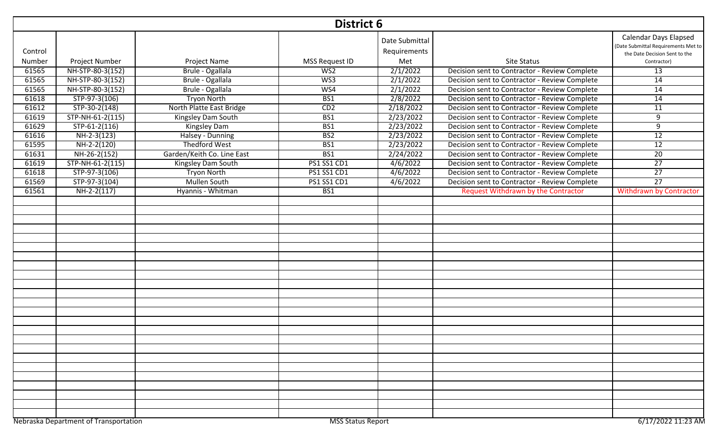|         | <b>District 6</b>                     |                            |                          |                                |                                               |                                                                                                      |  |  |  |
|---------|---------------------------------------|----------------------------|--------------------------|--------------------------------|-----------------------------------------------|------------------------------------------------------------------------------------------------------|--|--|--|
| Control |                                       |                            |                          | Date Submittal<br>Requirements |                                               | <b>Calendar Days Elapsed</b><br>(Date Submittal Requirements Met to<br>the Date Decision Sent to the |  |  |  |
| Number  | Project Number                        | Project Name               | MSS Request ID           | Met                            | <b>Site Status</b>                            | Contractor)                                                                                          |  |  |  |
| 61565   | NH-STP-80-3(152)                      | Brule - Ogallala           | W <sub>S2</sub>          | 2/1/2022                       | Decision sent to Contractor - Review Complete | 13                                                                                                   |  |  |  |
| 61565   | NH-STP-80-3(152)                      | Brule - Ogallala           | W <sub>S3</sub>          | 2/1/2022                       | Decision sent to Contractor - Review Complete | $\overline{14}$                                                                                      |  |  |  |
| 61565   | NH-STP-80-3(152)                      | Brule - Ogallala           | W <sub>S4</sub>          | 2/1/2022                       | Decision sent to Contractor - Review Complete | 14                                                                                                   |  |  |  |
| 61618   | STP-97-3(106)                         | <b>Tryon North</b>         | BS1                      | 2/8/2022                       | Decision sent to Contractor - Review Complete | $\overline{14}$                                                                                      |  |  |  |
| 61612   | STP-30-2(148)                         | North Platte East Bridge   | CD2                      | 2/18/2022                      | Decision sent to Contractor - Review Complete | 11                                                                                                   |  |  |  |
| 61619   | STP-NH-61-2(115)                      | Kingsley Dam South         | BS1                      | 2/23/2022                      | Decision sent to Contractor - Review Complete | 9                                                                                                    |  |  |  |
| 61629   | $STP-61-2(116)$                       | Kingsley Dam               | BS1                      | 2/23/2022                      | Decision sent to Contractor - Review Complete | 9                                                                                                    |  |  |  |
| 61616   | $NH-2-3(123)$                         | Halsey - Dunning           | BS <sub>2</sub>          | 2/23/2022                      | Decision sent to Contractor - Review Complete | 12                                                                                                   |  |  |  |
| 61595   | NH-2-2(120)                           | <b>Thedford West</b>       | BS1                      | 2/23/2022                      | Decision sent to Contractor - Review Complete | $\overline{12}$                                                                                      |  |  |  |
| 61631   | NH-26-2(152)                          | Garden/Keith Co. Line East | BS1                      | 2/24/2022                      | Decision sent to Contractor - Review Complete | $\overline{20}$                                                                                      |  |  |  |
| 61619   | STP-NH-61-2(115)                      | Kingsley Dam South         | <b>PS1 SS1 CD1</b>       | 4/6/2022                       | Decision sent to Contractor - Review Complete | $\overline{27}$                                                                                      |  |  |  |
| 61618   | STP-97-3(106)                         | <b>Tryon North</b>         | <b>PS1 SS1 CD1</b>       | 4/6/2022                       | Decision sent to Contractor - Review Complete | $\overline{27}$                                                                                      |  |  |  |
| 61569   | STP-97-3(104)                         | <b>Mullen South</b>        | <b>PS1 SS1 CD1</b>       | 4/6/2022                       | Decision sent to Contractor - Review Complete | $\overline{27}$                                                                                      |  |  |  |
| 61561   | $\overline{NH-2-2(117)}$              | Hyannis - Whitman          | BS1                      |                                | <b>Request Withdrawn by the Contractor</b>    | <b>Withdrawn by Contractor</b>                                                                       |  |  |  |
|         |                                       |                            |                          |                                |                                               |                                                                                                      |  |  |  |
|         |                                       |                            |                          |                                |                                               |                                                                                                      |  |  |  |
|         |                                       |                            |                          |                                |                                               |                                                                                                      |  |  |  |
|         |                                       |                            |                          |                                |                                               |                                                                                                      |  |  |  |
|         |                                       |                            |                          |                                |                                               |                                                                                                      |  |  |  |
|         |                                       |                            |                          |                                |                                               |                                                                                                      |  |  |  |
|         |                                       |                            |                          |                                |                                               |                                                                                                      |  |  |  |
|         |                                       |                            |                          |                                |                                               |                                                                                                      |  |  |  |
|         |                                       |                            |                          |                                |                                               |                                                                                                      |  |  |  |
|         |                                       |                            |                          |                                |                                               |                                                                                                      |  |  |  |
|         |                                       |                            |                          |                                |                                               |                                                                                                      |  |  |  |
|         |                                       |                            |                          |                                |                                               |                                                                                                      |  |  |  |
|         |                                       |                            |                          |                                |                                               |                                                                                                      |  |  |  |
|         |                                       |                            |                          |                                |                                               |                                                                                                      |  |  |  |
|         |                                       |                            |                          |                                |                                               |                                                                                                      |  |  |  |
|         |                                       |                            |                          |                                |                                               |                                                                                                      |  |  |  |
|         |                                       |                            |                          |                                |                                               |                                                                                                      |  |  |  |
|         |                                       |                            |                          |                                |                                               |                                                                                                      |  |  |  |
|         |                                       |                            |                          |                                |                                               |                                                                                                      |  |  |  |
|         |                                       |                            |                          |                                |                                               |                                                                                                      |  |  |  |
|         |                                       |                            |                          |                                |                                               |                                                                                                      |  |  |  |
|         |                                       |                            |                          |                                |                                               |                                                                                                      |  |  |  |
|         |                                       |                            |                          |                                |                                               |                                                                                                      |  |  |  |
|         |                                       |                            |                          |                                |                                               |                                                                                                      |  |  |  |
|         | Nebraska Department of Transportation |                            | <b>MSS Status Report</b> |                                |                                               | 6/17/2022 11:23 AM                                                                                   |  |  |  |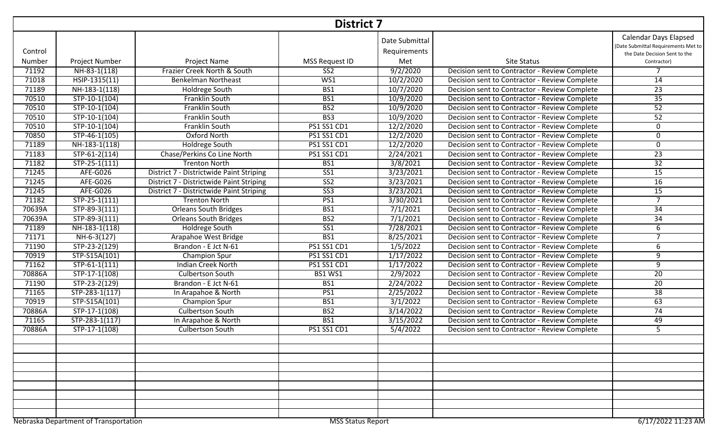| <b>District 7</b> |                                                                                         |                                          |                         |                                |                                               |                                                                                                      |  |  |  |  |
|-------------------|-----------------------------------------------------------------------------------------|------------------------------------------|-------------------------|--------------------------------|-----------------------------------------------|------------------------------------------------------------------------------------------------------|--|--|--|--|
| Control           |                                                                                         |                                          |                         | Date Submittal<br>Requirements |                                               | <b>Calendar Days Elapsed</b><br>(Date Submittal Requirements Met to<br>the Date Decision Sent to the |  |  |  |  |
| Number            | Project Number                                                                          | Project Name                             | MSS Request ID          | Met                            | <b>Site Status</b>                            | Contractor)                                                                                          |  |  |  |  |
| 71192             | NH-83-1(118)                                                                            | Frazier Creek North & South              | $\overline{\text{SS2}}$ | 9/2/2020                       | Decision sent to Contractor - Review Complete |                                                                                                      |  |  |  |  |
| 71018             | HSIP-1315(11)                                                                           | <b>Benkelman Northeast</b>               | WS1                     | 10/2/2020                      | Decision sent to Contractor - Review Complete | 14                                                                                                   |  |  |  |  |
| 71189             | NH-183-1(118)                                                                           | Holdrege South                           | B <sub>S1</sub>         | 10/7/2020                      | Decision sent to Contractor - Review Complete | $\overline{23}$                                                                                      |  |  |  |  |
| 70510             | STP-10-1(104)                                                                           | Franklin South                           | BS1                     | 10/9/2020                      | Decision sent to Contractor - Review Complete | $\overline{35}$                                                                                      |  |  |  |  |
| 70510             | STP-10-1(104)                                                                           | <b>Franklin South</b>                    | B <sub>S2</sub>         | 10/9/2020                      | Decision sent to Contractor - Review Complete | 52                                                                                                   |  |  |  |  |
| 70510             | $STP-10-1(104)$                                                                         | Franklin South                           | BS3                     | 10/9/2020                      | Decision sent to Contractor - Review Complete | $\overline{52}$                                                                                      |  |  |  |  |
| 70510             | STP-10-1(104)                                                                           | Franklin South                           | PS1 SS1 CD1             | 12/2/2020                      | Decision sent to Contractor - Review Complete | 0                                                                                                    |  |  |  |  |
| 70850             | STP-46-1(105)                                                                           | Oxford North                             | <b>PS1 SS1 CD1</b>      | 12/2/2020                      | Decision sent to Contractor - Review Complete | 0                                                                                                    |  |  |  |  |
| 71189             | NH-183-1(118)                                                                           | Holdrege South                           | PS1 SS1 CD1             | 12/2/2020                      | Decision sent to Contractor - Review Complete | 0                                                                                                    |  |  |  |  |
| 71183             | $STP-61-2(114)$                                                                         | Chase/Perkins Co Line North              | PS1 SS1 CD1             | 2/24/2021                      | Decision sent to Contractor - Review Complete | $\overline{23}$                                                                                      |  |  |  |  |
| 71182             | $STP-25-1(111)$                                                                         | <b>Trenton North</b>                     | BS1                     | 3/8/2021                       | Decision sent to Contractor - Review Complete | $\overline{32}$                                                                                      |  |  |  |  |
| 71245             | <b>AFE-G026</b>                                                                         | District 7 - Districtwide Paint Striping | $S51$                   | 3/23/2021                      | Decision sent to Contractor - Review Complete | 15                                                                                                   |  |  |  |  |
| 71245             | <b>AFE-G026</b>                                                                         | District 7 - Districtwide Paint Striping | $\overline{SS2}$        | 3/23/2021                      | Decision sent to Contractor - Review Complete | 16                                                                                                   |  |  |  |  |
| 71245             | <b>AFE-G026</b>                                                                         | District 7 - Districtwide Paint Striping | $\overline{\text{SS3}}$ | 3/23/2021                      | Decision sent to Contractor - Review Complete | 15                                                                                                   |  |  |  |  |
| 71182             | $STP-25-1(111)$                                                                         | <b>Trenton North</b>                     | PS1                     | 3/30/2021                      | Decision sent to Contractor - Review Complete | $\overline{7}$                                                                                       |  |  |  |  |
| 70639A            | STP-89-3(111)                                                                           | <b>Orleans South Bridges</b>             | BS1                     | 7/1/2021                       | Decision sent to Contractor - Review Complete | $\overline{34}$                                                                                      |  |  |  |  |
| 70639A            | STP-89-3(111)                                                                           | <b>Orleans South Bridges</b>             | BS <sub>2</sub>         | 7/1/2021                       | Decision sent to Contractor - Review Complete | 34                                                                                                   |  |  |  |  |
| 71189             | NH-183-1(118)                                                                           | <b>Holdrege South</b>                    | $\overline{\text{SS1}}$ | 7/28/2021                      | Decision sent to Contractor - Review Complete | 6                                                                                                    |  |  |  |  |
| 71171             | $NH-6-3(127)$                                                                           | Arapahoe West Bridge                     | BS1                     | 8/25/2021                      | Decision sent to Contractor - Review Complete | $\overline{7}$                                                                                       |  |  |  |  |
| 71190             | STP-23-2(129)                                                                           | Brandon - E Jct N-61                     | PS1 SS1 CD1             | 1/5/2022                       | Decision sent to Contractor - Review Complete | 6                                                                                                    |  |  |  |  |
| 70919             | STP-S15A(101)                                                                           | Champion Spur                            | PS1 SS1 CD1             | 1/17/2022                      | Decision sent to Contractor - Review Complete | 9                                                                                                    |  |  |  |  |
| 71162             | STP-61-1(111)                                                                           | <b>Indian Creek North</b>                | PS1 SS1 CD1             | 1/17/2022                      | Decision sent to Contractor - Review Complete | $\overline{9}$                                                                                       |  |  |  |  |
| 70886A            | STP-17-1(108)                                                                           | <b>Culbertson South</b>                  | <b>BS1 WS1</b>          | 2/9/2022                       | Decision sent to Contractor - Review Complete | 20                                                                                                   |  |  |  |  |
| 71190             | STP-23-2(129)                                                                           | Brandon - E Jct N-61                     | BS1                     | 2/24/2022                      | Decision sent to Contractor - Review Complete | 20                                                                                                   |  |  |  |  |
| 71165             | STP-283-1(117)                                                                          | In Arapahoe & North                      | PS1                     | 2/25/2022                      | Decision sent to Contractor - Review Complete | $\overline{38}$                                                                                      |  |  |  |  |
| 70919             | STP-S15A(101)                                                                           | Champion Spur                            | BS1                     | 3/1/2022                       | Decision sent to Contractor - Review Complete | 63                                                                                                   |  |  |  |  |
| 70886A            | STP-17-1(108)                                                                           | <b>Culbertson South</b>                  | B <sub>S2</sub>         | 3/14/2022                      | Decision sent to Contractor - Review Complete | $\overline{74}$                                                                                      |  |  |  |  |
| 71165             | $STP-283-1(117)$                                                                        | In Arapahoe & North                      | BS1                     | 3/15/2022                      | Decision sent to Contractor - Review Complete | 49                                                                                                   |  |  |  |  |
| 70886A            | STP-17-1(108)                                                                           | <b>Culbertson South</b>                  | PS1 SS1 CD1             | 5/4/2022                       | Decision sent to Contractor - Review Complete | 5                                                                                                    |  |  |  |  |
|                   |                                                                                         |                                          |                         |                                |                                               |                                                                                                      |  |  |  |  |
|                   |                                                                                         |                                          |                         |                                |                                               |                                                                                                      |  |  |  |  |
|                   |                                                                                         |                                          |                         |                                |                                               |                                                                                                      |  |  |  |  |
|                   |                                                                                         |                                          |                         |                                |                                               |                                                                                                      |  |  |  |  |
|                   |                                                                                         |                                          |                         |                                |                                               |                                                                                                      |  |  |  |  |
|                   |                                                                                         |                                          |                         |                                |                                               |                                                                                                      |  |  |  |  |
|                   |                                                                                         |                                          |                         |                                |                                               |                                                                                                      |  |  |  |  |
|                   |                                                                                         |                                          |                         |                                |                                               |                                                                                                      |  |  |  |  |
|                   |                                                                                         |                                          |                         |                                |                                               |                                                                                                      |  |  |  |  |
|                   | Nebraska Department of Transportation<br><b>MSS Status Report</b><br>6/17/2022 11:23 AM |                                          |                         |                                |                                               |                                                                                                      |  |  |  |  |